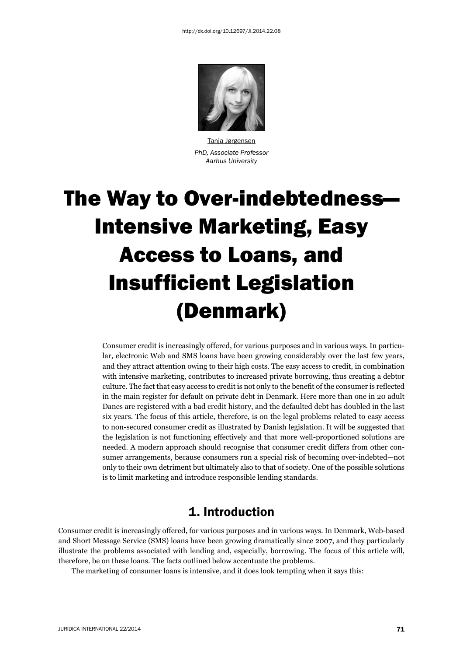

Tanja Jørgensen *PhD, Associate Professor Aarhus University*

# The Way to Over-indebtedness— Intensive Marketing, Easy Access to Loans, and **Insufficient Legislation** (Denmark)

Consumer credit is increasingly offered, for various purposes and in various ways. In particular, electronic Web and SMS loans have been growing considerably over the last few years, and they attract attention owing to their high costs. The easy access to credit, in combination with intensive marketing, contributes to increased private borrowing, thus creating a debtor culture. The fact that easy access to credit is not only to the benefit of the consumer is reflected in the main register for default on private debt in Denmark. Here more than one in 20 adult Danes are registered with a bad credit history, and the defaulted debt has doubled in the last six years. The focus of this article, therefore, is on the legal problems related to easy access to non-secured consumer credit as illustrated by Danish legislation. It will be suggested that the legislation is not functioning effectively and that more well-proportioned solutions are needed. A modern approach should recognise that consumer credit differs from other consumer arrangements, because consumers run a special risk of becoming over-indebted—not only to their own detriment but ultimately also to that of society. One of the possible solutions is to limit marketing and introduce responsible lending standards.

# 1. Introduction

Consumer credit is increasingly offered, for various purposes and in various ways. In Denmark, Web-based and Short Message Service (SMS) loans have been growing dramatically since 2007, and they particularly illustrate the problems associated with lending and, especially, borrowing. The focus of this article will, therefore, be on these loans. The facts outlined below accentuate the problems.

The marketing of consumer loans is intensive, and it does look tempting when it says this: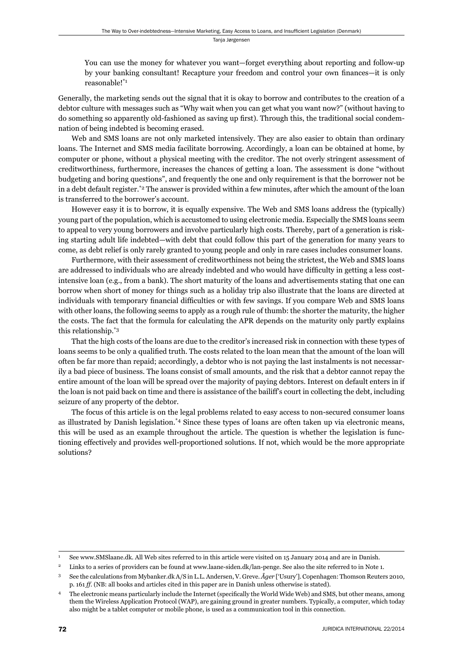You can use the money for whatever you want—forget everything about reporting and follow-up by your banking consultant! Recapture your freedom and control your own finances—it is only reasonable!\*1

Generally, the marketing sends out the signal that it is okay to borrow and contributes to the creation of a debtor culture with messages such as "Why wait when you can get what you want now?" (without having to do something so apparently old-fashioned as saving up first). Through this, the traditional social condemnation of being indebted is becoming erased.

Web and SMS loans are not only marketed intensively. They are also easier to obtain than ordinary loans. The Internet and SMS media facilitate borrowing. Accordingly, a loan can be obtained at home, by computer or phone, without a physical meeting with the creditor. The not overly stringent assessment of creditworthiness, furthermore, increases the chances of getting a loan. The assessment is done "without budgeting and boring questions", and frequently the one and only requirement is that the borrower not be in a debt default register.\*2 The answer is provided within a few minutes, after which the amount of the loan is transferred to the borrower's account.

However easy it is to borrow, it is equally expensive. The Web and SMS loans address the (typically) young part of the population, which is accustomed to using electronic media. Especially the SMS loans seem to appeal to very young borrowers and involve particularly high costs. Thereby, part of a generation is risking starting adult life indebted—with debt that could follow this part of the generation for many years to come, as debt relief is only rarely granted to young people and only in rare cases includes consumer loans.

Furthermore, with their assessment of creditworthiness not being the strictest, the Web and SMS loans are addressed to individuals who are already indebted and who would have difficulty in getting a less costintensive loan (e.g., from a bank). The short maturity of the loans and advertisements stating that one can borrow when short of money for things such as a holiday trip also illustrate that the loans are directed at individuals with temporary financial difficulties or with few savings. If you compare Web and SMS loans with other loans, the following seems to apply as a rough rule of thumb: the shorter the maturity, the higher the costs. The fact that the formula for calculating the APR depends on the maturity only partly explains this relationship.\*3

That the high costs of the loans are due to the creditor's increased risk in connection with these types of loans seems to be only a qualified truth. The costs related to the loan mean that the amount of the loan will often be far more than repaid; accordingly, a debtor who is not paying the last instalments is not necessarily a bad piece of business. The loans consist of small amounts, and the risk that a debtor cannot repay the entire amount of the loan will be spread over the majority of paying debtors. Interest on default enters in if the loan is not paid back on time and there is assistance of the bailiff's court in collecting the debt, including seizure of any property of the debtor.

The focus of this article is on the legal problems related to easy access to non-secured consumer loans as illustrated by Danish legislation.\*4 Since these types of loans are often taken up via electronic means, this will be used as an example throughout the article. The question is whether the legislation is functioning effectively and provides well-proportioned solutions. If not, which would be the more appropriate solutions?

<sup>1</sup> See www.SMSlaane.dk. All Web sites referred to in this article were visited on 15 January 2014 and are in Danish.

<sup>&</sup>lt;sup>2</sup> Links to a series of providers can be found at www.laane-siden.dk/lan-penge. See also the site referred to in Note 1.

<sup>3</sup> See the calculations from Mybanker.dk A/S in L.L. Andersen, V. Greve. *Åger* ['Usury']. Copenhagen: Thomson Reuters 2010, p. 161 *ff.* (NB: all books and articles cited in this paper are in Danish unless otherwise is stated).

The electronic means particularly include the Internet (specifically the World Wide Web) and SMS, but other means, among them the Wireless Application Protocol (WAP), are gaining ground in greater numbers. Typically, a computer, which today also might be a tablet computer or mobile phone, is used as a communication tool in this connection.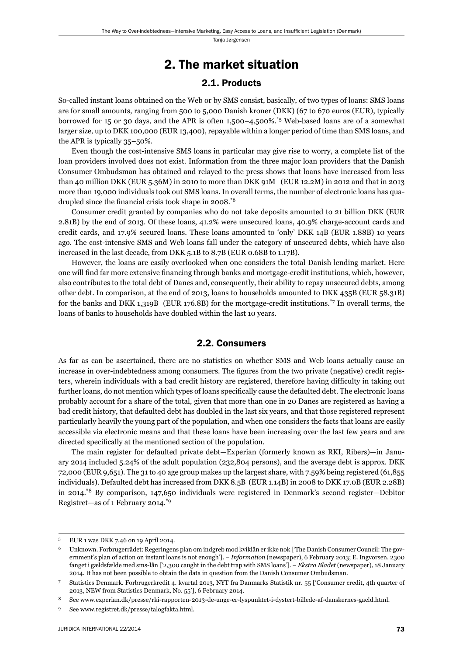# 2. The market situation

#### 2.1. Products

So-called instant loans obtained on the Web or by SMS consist, basically, of two types of loans: SMS loans are for small amounts, ranging from 500 to 5,000 Danish kroner (DKK) (67 to 670 euros (EUR), typically borrowed for 15 or 30 days, and the APR is often 1,500–4,500%.\*5 Web-based loans are of a somewhat larger size, up to DKK 100,000 (EUR 13,400), repayable within a longer period of time than SMS loans, and the APR is typically 35–50%.

Even though the cost-intensive SMS loans in particular may give rise to worry, a complete list of the loan providers involved does not exist. Information from the three major loan providers that the Danish Consumer Ombudsman has obtained and relayed to the press shows that loans have increased from less than 40 million DKK (EUR 5.36M) in 2010 to more than DKK 91M (EUR 12.2M) in 2012 and that in 2013 more than 19,000 individuals took out SMS loans. In overall terms, the number of electronic loans has quadrupled since the financial crisis took shape in  $2008.^{6}$ 

Consumer credit granted by companies who do not take deposits amounted to 21 billion DKK (EUR 2.81B) by the end of 2013. Of these loans, 41.2% were unsecured loans, 40.9% charge-account cards and credit cards, and 17.9% secured loans. These loans amounted to 'only' DKK 14B (EUR 1.88B) 10 years ago. The cost-intensive SMS and Web loans fall under the category of unsecured debts, which have also increased in the last decade, from DKK 5.1B to 8.7B (EUR 0.68B to 1.17B).

However, the loans are easily overlooked when one considers the total Danish lending market. Here one will find far more extensive financing through banks and mortgage-credit institutions, which, however, also contributes to the total debt of Danes and, consequently, their ability to repay unsecured debts, among other debt. In comparison, at the end of 2013, loans to households amounted to DKK 435B (EUR 58.31B) for the banks and DKK 1,319B (EUR 176.8B) for the mortgage-credit institutions.\*7 In overall terms, the loans of banks to households have doubled within the last 10 years.

#### 2.2. Consumers

As far as can be ascertained, there are no statistics on whether SMS and Web loans actually cause an increase in over-indebtedness among consumers. The figures from the two private (negative) credit registers, wherein individuals with a bad credit history are registered, therefore having difficulty in taking out further loans, do not mention which types of loans specifically cause the defaulted debt. The electronic loans probably account for a share of the total, given that more than one in 20 Danes are registered as having a bad credit history, that defaulted debt has doubled in the last six years, and that those registered represent particularly heavily the young part of the population, and when one considers the facts that loans are easily accessible via electronic means and that these loans have been increasing over the last few years and are directed specifically at the mentioned section of the population.

The main register for defaulted private debt—Experian (formerly known as RKI, Ribers)—in January 2014 included 5.24% of the adult population (232,804 persons), and the average debt is approx. DKK 72,000 (EUR 9,651). The 31 to 40 age group makes up the largest share, with 7.59% being registered (61,855 individuals). Defaulted debt has increased from DKK 8.5B (EUR 1.14B) in 2008 to DKK 17.0B (EUR 2.28B) in 2014.\*8 By comparison, 147,650 individuals were registered in Denmark's second register—Debitor Registret—as of 1 February 2014.\*9

<sup>5</sup> EUR 1 was DKK 7.46 on 19 April 2014.

<sup>6</sup> Unknown. Forbrugerrådet: Regeringens plan om indgreb mod kviklån er ikke nok ['The Danish Consumer Council: The government's plan of action on instant loans is not enough']. – *Information* (newspaper), 6 February 2013; E. Ingvorsen. 2300 fanget i gældsfælde med sms-lån ['2,300 caught in the debt trap with SMS loans']. – *Ekstra Bladet* (newspaper), 18 January 2014. It has not been possible to obtain the data in question from the Danish Consumer Ombudsman.

<sup>7</sup> Statistics Denmark. Forbrugerkredit 4. kvartal 2013, NYT fra Danmarks Statistik nr. 55 ['Consumer credit, 4th quarter of 2013, NEW from Statistics Denmark, No. 55'], 6 February 2014.

<sup>8</sup> See www.experian.dk/presse/rki-rapporten-2013-de-unge-er-lyspunktet-i-dystert-billede-af-danskernes-gaeld.html.

<sup>9</sup> See www.registret.dk/presse/talogfakta.html.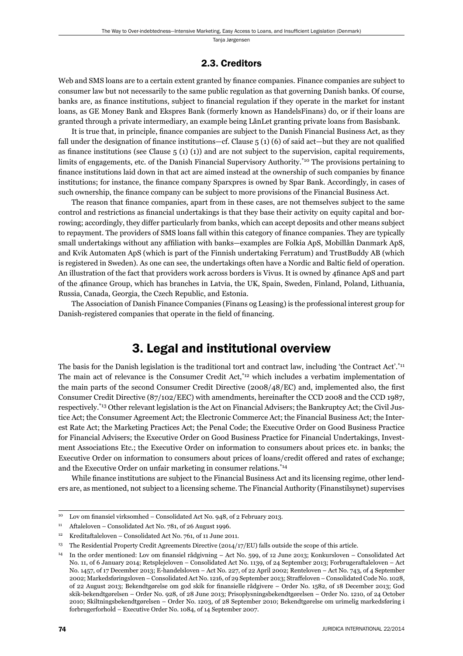#### 2.3. Creditors

Web and SMS loans are to a certain extent granted by finance companies. Finance companies are subject to consumer law but not necessarily to the same public regulation as that governing Danish banks. Of course, banks are, as finance institutions, subject to financial regulation if they operate in the market for instant loans, as GE Money Bank and Ekspres Bank (formerly known as HandelsFinans) do, or if their loans are granted through a private intermediary, an example being LånLet granting private loans from Basisbank.

It is true that, in principle, finance companies are subject to the Danish Financial Business Act, as they fall under the designation of finance institutions—cf. Clause  $5(1)(6)$  of said act—but they are not qualified as finance institutions (see Clause  $5 \text{ (1) (1)}$ ) and are not subject to the supervision, capital requirements, limits of engagements, etc. of the Danish Financial Supervisory Authority.\*10 The provisions pertaining to finance institutions laid down in that act are aimed instead at the ownership of such companies by finance institutions; for instance, the finance company Sparxpres is owned by Spar Bank. Accordingly, in cases of such ownership, the finance company can be subject to more provisions of the Financial Business Act.

The reason that finance companies, apart from in these cases, are not themselves subject to the same control and restrictions as financial undertakings is that they base their activity on equity capital and borrowing; accordingly, they differ particularly from banks, which can accept deposits and other means subject to repayment. The providers of SMS loans fall within this category of finance companies. They are typically small undertakings without any affiliation with banks—examples are Folkia ApS, Mobillån Danmark ApS, and Kvik Automaten ApS (which is part of the Finnish undertaking Ferratum) and TrustBuddy AB (which is registered in Sweden). As one can see, the undertakings often have a Nordic and Baltic field of operation. An illustration of the fact that providers work across borders is Vivus. It is owned by 4finance ApS and part of the 4finance Group, which has branches in Latvia, the UK, Spain, Sweden, Finland, Poland, Lithuania, Russia, Canada, Georgia, the Czech Republic, and Estonia.

The Association of Danish Finance Companies (Finans og Leasing) is the professional interest group for Danish-registered companies that operate in the field of financing.

## 3. Legal and institutional overview

The basis for the Danish legislation is the traditional tort and contract law, including 'the Contract Act'.<sup>\*11</sup> The main act of relevance is the Consumer Credit Act,\*12 which includes a verbatim implementation of the main parts of the second Consumer Credit Directive ( $2008/48/EC$ ) and, implemented also, the first Consumer Credit Directive (87/102/EEC) with amendments, hereinafter the CCD 2008 and the CCD 1987, respectively.\*13 Other relevant legislation is the Act on Financial Advisers; the Bankruptcy Act; the Civil Justice Act; the Consumer Agreement Act; the Electronic Commerce Act; the Financial Business Act; the Interest Rate Act; the Marketing Practices Act; the Penal Code; the Executive Order on Good Business Practice for Financial Advisers; the Executive Order on Good Business Practice for Financial Undertakings, Investment Associations Etc.; the Executive Order on information to consumers about prices etc. in banks; the Executive Order on information to consumers about prices of loans/credit offered and rates of exchange; and the Executive Order on unfair marketing in consumer relations.\*14

While finance institutions are subject to the Financial Business Act and its licensing regime, other lenders are, as mentioned, not subject to a licensing scheme. The Financial Authority (Finanstilsynet) supervises

<sup>&</sup>lt;sup>10</sup> Lov om finansiel virksomhed – Consolidated Act No. 948, of 2 February 2013.

<sup>&</sup>lt;sup>11</sup> Aftaleloven – Consolidated Act No. 781, of 26 August 1996.

<sup>12</sup> Kreditaftaleloven – Consolidated Act No. 761, of 11 June 2011.

<sup>13</sup> The Residential Property Credit Agreements Directive (2014/17/EU) falls outside the scope of this article.

<sup>&</sup>lt;sup>14</sup> In the order mentioned: Lov om finansiel rådgivning – Act No. 599, of 12 June 2013; Konkursloven – Consolidated Act No. 11, of 6 January 2014; Retsplejeloven – Consolidated Act No. 1139, of 24 September 2013; Forbrugeraftaleloven – Act No. 1457, of 17 December 2013; E-handelsloven – Act No. 227, of 22 April 2002; Renteloven – Act No. 743, of 4 September 2002; Markedsføringsloven – Consolidated Act No. 1216, of 29 September 2013; Straffeloven – Consolidated Code No. 1028, of 22 August 2013; Bekendtgørelse om god skik for finansielle rådgivere – Order No. 1582, of 18 December 2013; God skik-bekendtgørelsen – Order No. 928, of 28 June 2013; Prisoplysningsbekendtgørelsen – Order No. 1210, of 24 October 2010; Skiltningsbekendtgørelsen – Order No. 1203, of 28 September 2010; Bekendtgørelse om urimelig markedsføring i forbrugerforhold – Executive Order No. 1084, of 14 September 2007.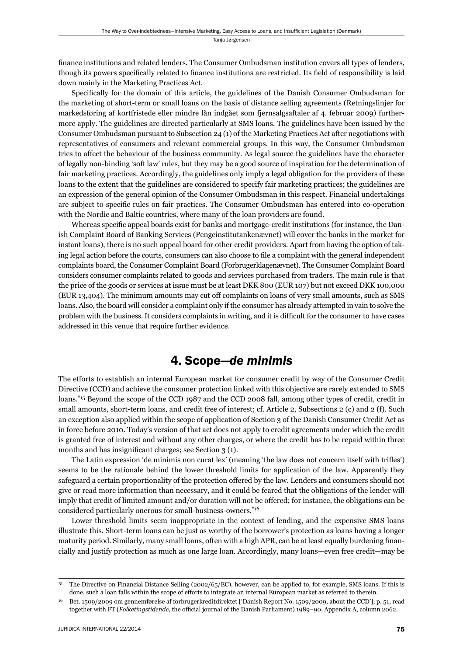finance institutions and related lenders. The Consumer Ombudsman institution covers all types of lenders, though its powers specifically related to finance institutions are restricted. Its field of responsibility is laid down mainly in the Marketing Practices Act.

Specifically for the domain of this article, the guidelines of the Danish Consumer Ombuds man for the marketing of short-term or small loans on the basis of distance selling agreements (Retningslinjer for markedsføring af kortfristede eller mindre lån indgået som fjernsalgsaftaler af 4. februar 2009) furthermore apply. The guidelines are directed particularly at SMS loans. The guidelines have been issued by the Consumer Ombudsman pursuant to Subsection 24 (1) of the Marketing Practices Act after negotiations with representatives of consumers and relevant commercial groups. In this way, the Consumer Ombudsman tries to affect the behaviour of the business community. As legal source the guidelines have the character of legally non-binding 'soft law' rules, but they may be a good source of inspiration for the determination of fair marketing practices. Accordingly, the guidelines only imply a legal obligation for the providers of these loans to the extent that the guidelines are considered to specify fair marketing practices; the guidelines are an expression of the general opinion of the Consumer Ombudsman in this respect. Financial undertakings are subject to specific rules on fair practices. The Consumer Ombudsman has entered into co-operation with the Nordic and Baltic countries, where many of the loan providers are found.

Whereas specific appeal boards exist for banks and mortgage-credit institutions (for instance, the Danish Complaint Board of Banking Services (Pengeinstitutankenævnet) will cover the banks in the market for instant loans), there is no such appeal board for other credit providers. Apart from having the option of taking legal action before the courts, consumers can also choose to file a complaint with the general independent complaints board, the Consumer Complaint Board (Forbrugerklagenævnet). The Consumer Complaint Board considers consumer complaints related to goods and services purchased from traders. The main rule is that the price of the goods or services at issue must be at least DKK 800 (EUR 107) but not exceed DKK 100,000 (EUR 13,404). The minimum amounts may cut off complaints on loans of very small amounts, such as SMS loans. Also, the board will consider a complaint only if the consumer has already attempted in vain to solve the problem with the business. It considers complaints in writing, and it is difficult for the consumer to have cases addressed in this venue that require further evidence.

# 4. Scope—*de minimis*

The efforts to establish an internal European market for consumer credit by way of the Consumer Credit Directive (CCD) and achieve the consumer protection linked with this objective are rarely extended to SMS loans.\*15 Beyond the scope of the CCD 1987 and the CCD 2008 fall, among other types of credit, credit in small amounts, short-term loans, and credit free of interest; cf. Article 2, Subsections 2 (c) and 2 (f). Such an exception also applied within the scope of application of Section 3 of the Danish Consumer Credit Act as in force before 2010. Today's version of that act does not apply to credit agreements under which the credit is granted free of interest and without any other charges, or where the credit has to be repaid within three months and has insignificant charges; see Section 3 (1).

The Latin expression 'de minimis non curat lex' (meaning 'the law does not concern itself with trifles') seems to be the rationale behind the lower threshold limits for application of the law. Apparently they safeguard a certain proportionality of the protection offered by the law. Lenders and consumers should not give or read more information than necessary, and it could be feared that the obligations of the lender will imply that credit of limited amount and/or duration will not be offered; for instance, the obligations can be considered particularly onerous for small-business-owners.\*16

Lower threshold limits seem inappropriate in the context of lending, and the expensive SMS loans illustrate this. Short-term loans can be just as worthy of the borrower's protection as loans having a longer maturity period. Similarly, many small loans, often with a high APR, can be at least equally burdening financially and justify protection as much as one large loan. Accordingly, many loans—even free credit—may be

<sup>15</sup> The Directive on Financial Distance Selling (2002/65/EC), however, can be applied to, for example, SMS loans. If this is done, such a loan falls within the scope of efforts to integrate an internal European market as referred to therein.

<sup>16</sup> Bet. 1509/2009 om gennemførelse af forbrugerkreditdirektet ['Danish Report No. 1509/2009, about the CCD'], p. 51, read together with FT (*Folketingstidende*, the official journal of the Danish Parliament) 1989–90, Appendix A, column 2062.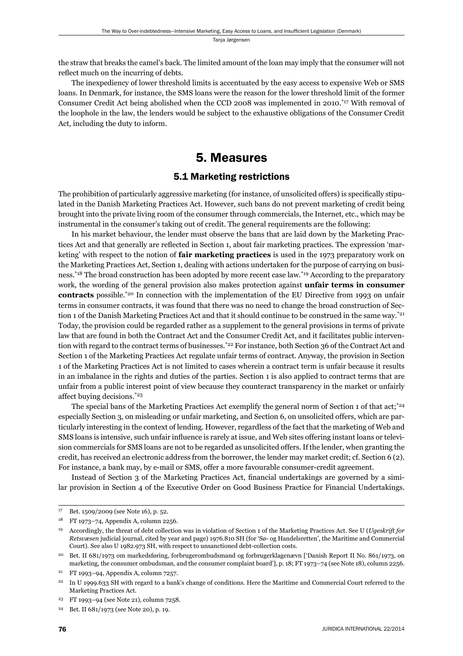the straw that breaks the camel's back. The limited amount of the loan may imply that the consumer will not reflect much on the incurring of debts.

The inexpediency of lower threshold limits is accentuated by the easy access to expensive Web or SMS loans. In Denmark, for instance, the SMS loans were the reason for the lower threshold limit of the former Consumer Credit Act being abolished when the CCD 2008 was implemented in 2010.\*17 With removal of the loophole in the law, the lenders would be subject to the exhaustive obligations of the Consumer Credit Act, including the duty to inform.

# 5. Measures

## 5.1 Marketing restrictions

The prohibition of particularly aggressive marketing (for instance, of unsolicited offers) is specifically stipulated in the Danish Marketing Practices Act. However, such bans do not prevent marketing of credit being brought into the private living room of the consumer through commercials, the Internet, etc., which may be instrumental in the consumer's taking out of credit. The general requirements are the following:

In his market behaviour, the lender must observe the bans that are laid down by the Marketing Practices Act and that generally are reflected in Section 1, about fair marketing practices. The expression 'marketing' with respect to the notion of **fair marketing practices** is used in the 1973 preparatory work on the Marketing Practices Act, Section 1, dealing with actions undertaken for the purpose of carrying on business.<sup>\*18</sup> The broad construction has been adopted by more recent case law.<sup>\*19</sup> According to the preparatory work, the wording of the general provision also makes protection against **unfair terms in consumer contracts** possible.\*20 In connection with the implementation of the EU Directive from 1993 on unfair terms in consumer contracts, it was found that there was no need to change the broad construction of Section 1 of the Danish Marketing Practices Act and that it should continue to be construed in the same way.<sup>\*21</sup> Today, the provision could be regarded rather as a supplement to the general provisions in terms of private law that are found in both the Contract Act and the Consumer Credit Act, and it facilitates public intervention with regard to the contract terms of businesses.<sup>\*22</sup> For instance, both Section 36 of the Contract Act and Section 1 of the Marketing Practices Act regulate unfair terms of contract. Anyway, the provision in Section 1 of the Marketing Practices Act is not limited to cases wherein a contract term is unfair because it results in an imbalance in the rights and duties of the parties. Section 1 is also applied to contract terms that are unfair from a public interest point of view because they counteract transparency in the market or unfairly affect buying decisions.\*23

The special bans of the Marketing Practices Act exemplify the general norm of Section 1 of that act;<sup>\*24</sup> especially Section 3, on misleading or unfair marketing, and Section 6, on unsolicited offers, which are particularly interesting in the context of lending. However, regardless of the fact that the marketing of Web and SMS loans is intensive, such unfair influence is rarely at issue, and Web sites offering instant loans or television commercials for SMS loans are not to be regarded as unsolicited offers. If the lender, when granting the credit, has received an electronic address from the borrower, the lender may market credit; cf. Section 6 (2). For instance, a bank may, by e-mail or SMS, offer a more favourable consumer-credit agreement.

Instead of Section 3 of the Marketing Practices Act, financial undertakings are governed by a similar provision in Section 4 of the Executive Order on Good Business Practice for Financial Undertakings.

<sup>17</sup> Bet. 1509/2009 (see Note 16), p. 52.

<sup>18</sup> FT 1973–74, Appendix A, column 2256.

<sup>19</sup> Accordingly, the threat of debt collection was in violation of Section 1 of the Marketing Practices Act. See U (*Ugeskrift for Retsvæsen* judicial journal, cited by year and page) 1976.810 SH (for 'Sø- og Handelsretten', the Maritime and Commercial Court)*.* See also U 1982.973 SH, with respect to unsanctioned debt-collection costs.

<sup>20</sup> Bet. II 681/1973 om markedsføring, forbrugerombudsmand og forbrugerklagenævn ['Danish Report II No. 861/1973, on marketing, the consumer ombudsman, and the consumer complaint board'], p. 18; FT 1973–74 (see Note 18), column 2256.

<sup>21</sup> FT 1993–94, Appendix A, column 7257.

<sup>&</sup>lt;sup>22</sup> In U 1999.633 SH with regard to a bank's change of conditions. Here the Maritime and Commercial Court referred to the Marketing Practices Act.

<sup>23</sup> FT 1993–94 (see Note 21), column 7258.

<sup>24</sup> Bet. II 681/1973 (see Note 20), p. 19.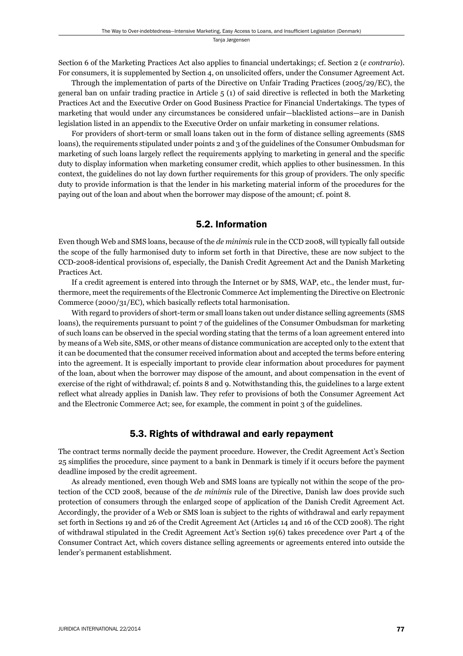Section 6 of the Marketing Practices Act also applies to financial undertakings; cf. Section 2 (*e contrario*). For consumers, it is supplemented by Section 4, on unsolicited offers, under the Consumer Agreement Act.

Through the implementation of parts of the Directive on Unfair Trading Practices (2005/29/EC), the general ban on unfair trading practice in Article  $5$  (1) of said directive is reflected in both the Marketing Practices Act and the Executive Order on Good Business Practice for Financial Undertakings. The types of marketing that would under any circumstances be considered unfair—blacklisted actions—are in Danish legislation listed in an appendix to the Executive Order on unfair marketing in consumer relations.

For providers of short-term or small loans taken out in the form of distance selling agreements (SMS loans), the requirements stipulated under points 2 and 3 of the guidelines of the Consumer Ombudsman for marketing of such loans largely reflect the requirements applying to marketing in general and the specific duty to display information when marketing consumer credit, which applies to other businessmen. In this context, the guidelines do not lay down further requirements for this group of providers. The only specific duty to provide information is that the lender in his marketing material inform of the procedures for the paying out of the loan and about when the borrower may dispose of the amount; cf. point 8.

#### 5.2. Information

Even though Web and SMS loans, because of the *de minimis* rule in the CCD 2008, will typically fall outside the scope of the fully harmonised duty to inform set forth in that Directive, these are now subject to the CCD-2008-identical provisions of, especially, the Danish Credit Agreement Act and the Danish Marketing Practices Act.

If a credit agreement is entered into through the Internet or by SMS, WAP, etc., the lender must, furthermore, meet the requirements of the Electronic Commerce Act implementing the Directive on Electronic Commerce (2000/31/EC), which basically reflects total harmonisation.

With regard to providers of short-term or small loans taken out under distance selling agreements (SMS loans), the requirements pursuant to point 7 of the guidelines of the Consumer Ombudsman for marketing of such loans can be observed in the special wording stating that the terms of a loan agreement entered into by means of a Web site, SMS, or other means of distance communication are accepted only to the extent that it can be documented that the consumer received information about and accepted the terms before entering into the agreement. It is especially important to provide clear information about procedures for payment of the loan, about when the borrower may dispose of the amount, and about compensation in the event of exercise of the right of withdrawal; cf. points 8 and 9. Notwithstanding this, the guidelines to a large extent reflect what already applies in Danish law. They refer to provisions of both the Consumer Agreement Act and the Electronic Commerce Act; see, for example, the comment in point 3 of the guidelines.

## 5.3. Rights of withdrawal and early repayment

The contract terms normally decide the payment procedure. However, the Credit Agreement Act's Section 25 simplifies the procedure, since payment to a bank in Denmark is timely if it occurs before the payment deadline imposed by the credit agreement.

As already mentioned, even though Web and SMS loans are typically not within the scope of the protection of the CCD 2008, because of the *de minimis* rule of the Directive, Danish law does provide such protection of consumers through the enlarged scope of application of the Danish Credit Agreement Act. Accordingly, the provider of a Web or SMS loan is subject to the rights of withdrawal and early repayment set forth in Sections 19 and 26 of the Credit Agreement Act (Articles 14 and 16 of the CCD 2008). The right of withdrawal stipulated in the Credit Agreement Act's Section 19(6) takes precedence over Part 4 of the Consumer Contract Act, which covers distance selling agreements or agreements entered into outside the lender's permanent establishment.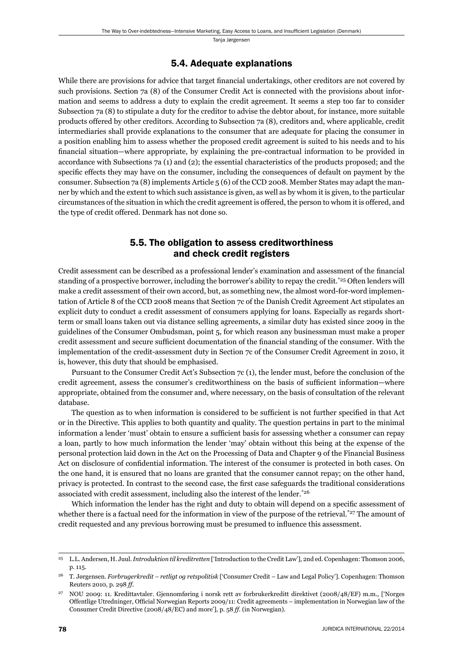#### 5.4. Adequate explanations

While there are provisions for advice that target financial undertakings, other creditors are not covered by such provisions. Section 7a (8) of the Consumer Credit Act is connected with the provisions about information and seems to address a duty to explain the credit agreement. It seems a step too far to consider Subsection 7a (8) to stipulate a duty for the creditor to advise the debtor about, for instance, more suitable products offered by other creditors. According to Subsection 7a (8), creditors and, where applicable, credit intermediaries shall provide explanations to the consumer that are adequate for placing the consumer in a position enabling him to assess whether the proposed credit agreement is suited to his needs and to his financial situation—where appropriate, by explaining the pre-contractual information to be provided in accordance with Subsections 7a (1) and (2); the essential characteristics of the products proposed; and the specific effects they may have on the consumer, including the consequences of default on payment by the consumer. Subsection 7a (8) implements Article 5 (6) of the CCD 2008. Member States may adapt the manner by which and the extent to which such assistance is given, as well as by whom it is given, to the particular circumstances of the situation in which the credit agreement is offered, the person to whom it is offered, and the type of credit offered. Denmark has not done so.

#### 5.5. The obligation to assess creditworthiness and check credit registers

Credit assessment can be described as a professional lender's examination and assessment of the financial standing of a prospective borrower, including the borrower's ability to repay the credit.<sup>\*25</sup> Often lenders will make a credit assessment of their own accord, but, as something new, the almost word-for-word implementation of Article 8 of the CCD 2008 means that Section 7c of the Danish Credit Agreement Act stipulates an explicit duty to conduct a credit assessment of consumers applying for loans. Especially as regards shortterm or small loans taken out via distance selling agreements, a similar duty has existed since 2009 in the guidelines of the Consumer Ombudsman, point 5, for which reason any businessman must make a proper credit assessment and secure sufficient documentation of the financial standing of the consumer. With the implementation of the credit-assessment duty in Section 7c of the Consumer Credit Agreement in 2010, it is, however, this duty that should be emphasised.

Pursuant to the Consumer Credit Act's Subsection 7c (1), the lender must, before the conclusion of the credit agreement, assess the consumer's creditworthiness on the basis of sufficient information—where appropriate, obtained from the consumer and, where necessary, on the basis of consultation of the relevant database.

The question as to when information is considered to be sufficient is not further specified in that Act or in the Directive. This applies to both quantity and quality. The question pertains in part to the minimal information a lender 'must' obtain to ensure a sufficient basis for assessing whether a consumer can repay a loan, partly to how much information the lender 'may' obtain without this being at the expense of the personal protection laid down in the Act on the Processing of Data and Chapter 9 of the Financial Business Act on disclosure of confidential information. The interest of the consumer is protected in both cases. On the one hand, it is ensured that no loans are granted that the consumer cannot repay; on the other hand, privacy is protected. In contrast to the second case, the first case safeguards the traditional considerations associated with credit assessment, including also the interest of the lender.\*26

Which information the lender has the right and duty to obtain will depend on a specific assessment of whether there is a factual need for the information in view of the purpose of the retrieval.<sup>\*27</sup> The amount of credit requested and any previous borrowing must be presumed to influence this assessment.

<sup>25</sup> L.L. Andersen, H. Juul. *Introduktion til kreditretten* ['Introduction to the Credit Law'], 2nd ed. Copenhagen: Thomson 2006, p. 115.

<sup>26</sup> T. Jørgensen. *Forbrugerkredit – retligt og retspolitisk* ['Consumer Credit – Law and Legal Policy']. Copenhagen: Thomson Reuters 2010, p. 298 *ff*.

<sup>27</sup> NOU 2009: 11. Kredittavtaler. Gjennomføring i norsk rett av forbrukerkreditt direktivet (2008/48/EF) m.m., ['Norges Offentlige Utredninger, Official Norwegian Reports 2009/11: Credit agreements – implementation in Norwegian law of the Consumer Credit Directive (2008/48/EC) and more'], p. 58 *ff.* (in Norwegian).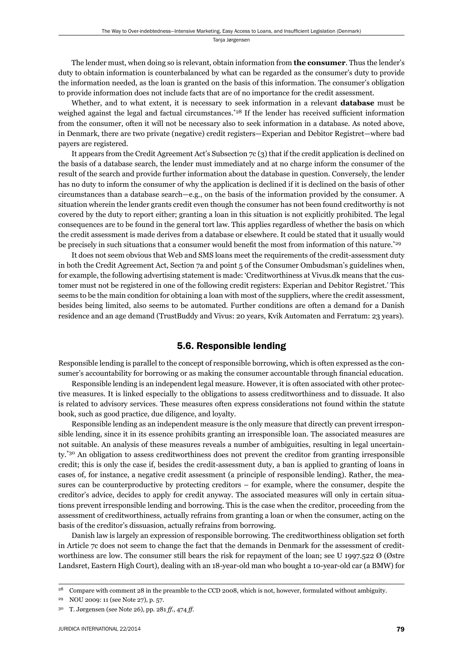The lender must, when doing so is relevant, obtain information from **the consumer**. Thus the lender's duty to obtain information is counterbalanced by what can be regarded as the consumer's duty to provide the information needed, as the loan is granted on the basis of this information. The consumer's obligation to provide information does not include facts that are of no importance for the credit assessment.

Whether, and to what extent, it is necessary to seek information in a relevant **database** must be weighed against the legal and factual circumstances.<sup>\*28</sup> If the lender has received sufficient information from the consumer, often it will not be necessary also to seek information in a database. As noted above, in Denmark, there are two private (negative) credit registers—Experian and Debitor Registret—where bad payers are registered.

It appears from the Credit Agreement Act's Subsection 7c (3) that if the credit application is declined on the basis of a database search, the lender must immediately and at no charge inform the consumer of the result of the search and provide further information about the database in question. Conversely, the lender has no duty to inform the consumer of why the application is declined if it is declined on the basis of other circumstances than a database search—e.g., on the basis of the information provided by the consumer. A situation wherein the lender grants credit even though the consumer has not been found creditworthy is not covered by the duty to report either; granting a loan in this situation is not explicitly prohibited. The legal consequences are to be found in the general tort law. This applies regardless of whether the basis on which the credit assessment is made derives from a database or elsewhere. It could be stated that it usually would be precisely in such situations that a consumer would benefit the most from information of this nature.<sup>\*29</sup>

It does not seem obvious that Web and SMS loans meet the requirements of the credit-assessment duty in both the Credit Agreement Act, Section 7a and point 5 of the Consumer Ombudsman's guidelines when, for example, the following advertising statement is made: 'Creditworthiness at Vivus.dk means that the customer must not be registered in one of the following credit registers: Experian and Debitor Registret.' This seems to be the main condition for obtaining a loan with most of the suppliers, where the credit assessment, besides being limited, also seems to be automated. Further conditions are often a demand for a Danish residence and an age demand (TrustBuddy and Vivus: 20 years, Kvik Automaten and Ferratum: 23 years).

#### 5.6. Responsible lending

Responsible lending is parallel to the concept of responsible borrowing, which is often expressed as the consumer's accountability for borrowing or as making the consumer accountable through financial education.

Responsible lending is an independent legal measure. However, it is often associated with other protective measures. It is linked especially to the obligations to assess creditworthiness and to dissuade. It also is related to advisory services. These measures often express considerations not found within the statute book, such as good practice, due diligence, and loyalty.

Responsible lending as an independent measure is the only measure that directly can prevent irresponsible lending, since it in its essence prohibits granting an irresponsible loan. The associated measures are not suitable. An analysis of these measures reveals a number of ambiguities, resulting in legal uncertainty.\*30 An obligation to assess creditworthiness does not prevent the creditor from granting irresponsible credit; this is only the case if, besides the credit-assessment duty, a ban is applied to granting of loans in cases of, for instance, a negative credit assessment (a principle of responsible lending). Rather, the measures can be counterproductive by protecting creditors – for example, where the consumer, despite the creditor's advice, decides to apply for credit anyway. The associated measures will only in certain situations prevent irresponsible lending and borrowing. This is the case when the creditor, proceeding from the assessment of creditworthiness, actually refrains from granting a loan or when the consumer, acting on the basis of the creditor's dissuasion, actually refrains from borrowing.

Danish law is largely an expression of responsible borrowing. The creditworthiness obligation set forth in Article 7c does not seem to change the fact that the demands in Denmark for the assessment of creditworthiness are low. The consumer still bears the risk for repayment of the loan; see U 1997.522 Ø (Østre Landsret, Eastern High Court), dealing with an 18-year-old man who bought a 10-year-old car (a BMW) for

<sup>&</sup>lt;sup>28</sup> Compare with comment 28 in the preamble to the CCD 2008, which is not, however, formulated without ambiguity.

<sup>29</sup> NOU 2009: 11 (see Note 27), p. 57.

<sup>30</sup> T. Jørgensen (see Note 26), pp. 281 *ff.*, 474 *ff*.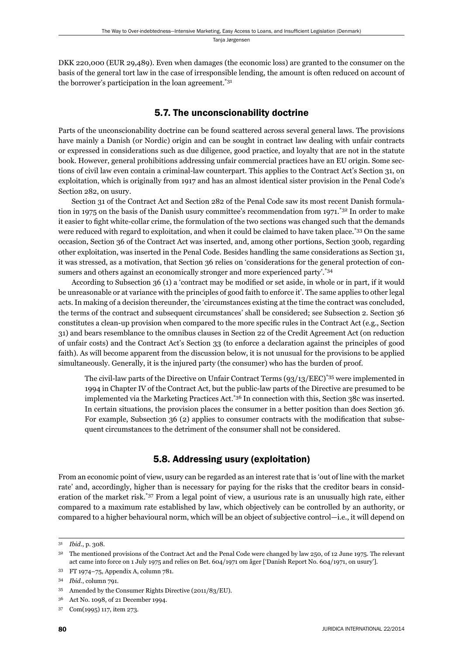DKK 220,000 (EUR 29,489). Even when damages (the economic loss) are granted to the consumer on the basis of the general tort law in the case of irresponsible lending, the amount is often reduced on account of the borrower's participation in the loan agreement.\*31

## 5.7. The unconscionability doctrine

Parts of the unconscionability doctrine can be found scattered across several general laws. The provisions have mainly a Danish (or Nordic) origin and can be sought in contract law dealing with unfair contracts or expressed in considerations such as due diligence, good practice, and loyalty that are not in the statute book. However, general prohibitions addressing unfair commercial practices have an EU origin. Some sections of civil law even contain a criminal-law counterpart. This applies to the Contract Act's Section 31, on exploitation, which is originally from 1917 and has an almost identical sister provision in the Penal Code's Section 282, on usury.

Section 31 of the Contract Act and Section 282 of the Penal Code saw its most recent Danish formulation in 1975 on the basis of the Danish usury committee's recommendation from 1971.<sup>\*32</sup> In order to make it easier to fight white-collar crime, the formulation of the two sections was changed such that the demands were reduced with regard to exploitation, and when it could be claimed to have taken place.\*33 On the same occasion, Section 36 of the Contract Act was inserted, and, among other portions, Section 300b, regarding other exploitation, was inserted in the Penal Code. Besides handling the same considerations as Section 31, it was stressed, as a motivation, that Section 36 relies on 'considerations for the general protection of consumers and others against an economically stronger and more experienced party'.\*34

According to Subsection 36 (1) a 'contract may be modified or set aside, in whole or in part, if it would be unreasonable or at variance with the principles of good faith to enforce it'. The same applies to other legal acts. In making of a decision thereunder, the 'circumstances existing at the time the contract was concluded, the terms of the contract and subsequent circumstances' shall be considered; see Subsection 2. Section 36 constitutes a clean-up provision when compared to the more specific rules in the Contract Act (e.g., Section 31) and bears resemblance to the omnibus clauses in Section 22 of the Credit Agreement Act (on reduction of unfair costs) and the Contract Act's Section 33 (to enforce a declaration against the principles of good faith). As will become apparent from the discussion below, it is not unusual for the provisions to be applied simultaneously. Generally, it is the injured party (the consumer) who has the burden of proof.

The civil-law parts of the Directive on Unfair Contract Terms (93/13/EEC)\*35 were implemented in 1994 in Chapter IV of the Contract Act, but the public-law parts of the Directive are presumed to be implemented via the Marketing Practices Act.\*36 In connection with this, Section 38c was inserted. In certain situations, the provision places the consumer in a better position than does Section 36. For example, Subsection 36 (2) applies to consumer contracts with the modification that subsequent circumstances to the detriment of the consumer shall not be considered.

## 5.8. Addressing usury (exploitation)

From an economic point of view, usury can be regarded as an interest rate that is 'out of line with the market rate' and, accordingly, higher than is necessary for paying for the risks that the creditor bears in consideration of the market risk.\*37 From a legal point of view, a usurious rate is an unusually high rate, either compared to a maximum rate established by law, which objectively can be controlled by an authority, or compared to a higher behavioural norm, which will be an object of subjective control—i.e., it will depend on

<sup>31</sup> *Ibid*., p. 308.

<sup>&</sup>lt;sup>32</sup> The mentioned provisions of the Contract Act and the Penal Code were changed by law 250, of 12 June 1975. The relevant act came into force on 1 July 1975 and relies on Bet. 604/1971 om åger ['Danish Report No. 604/1971, on usury'].

<sup>33</sup> FT 1974–75, Appendix A, column 781.

<sup>34</sup> *Ibid.*, column 791.

<sup>35</sup> Amended by the Consumer Rights Directive (2011/83/EU).

<sup>36</sup> Act No. 1098, of 21 December 1994.

<sup>37</sup> Com(1995) 117, item 273.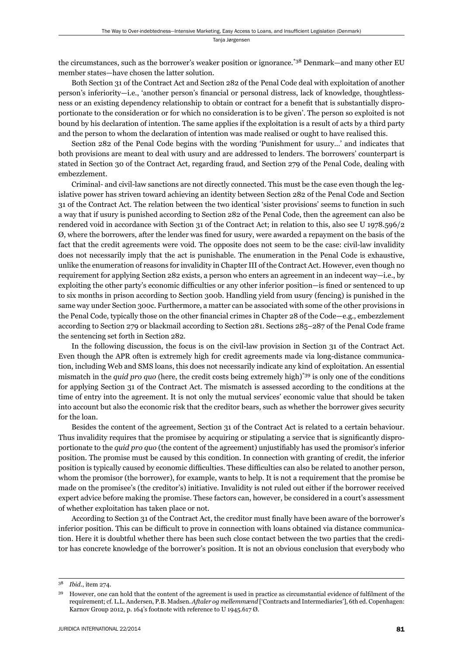the circumstances, such as the borrower's weaker position or ignorance.<sup>\*38</sup> Denmark—and many other EU member states—have chosen the latter solution.

Both Section 31 of the Contract Act and Section 282 of the Penal Code deal with exploitation of another person's inferiority—i.e., 'another person's financial or personal distress, lack of knowledge, thoughtlessness or an existing dependency relationship to obtain or contract for a benefit that is substantially disproportionate to the consideration or for which no consideration is to be given'. The person so exploited is not bound by his declaration of intention. The same applies if the exploitation is a result of acts by a third party and the person to whom the declaration of intention was made realised or ought to have realised this.

Section 282 of the Penal Code begins with the wording 'Punishment for usury…' and indicates that both provisions are meant to deal with usury and are addressed to lenders. The borrowers' counterpart is stated in Section 30 of the Contract Act, regarding fraud, and Section 279 of the Penal Code, dealing with embezzlement.

Criminal- and civil-law sanctions are not directly connected. This must be the case even though the legislative power has striven toward achieving an identity between Section 282 of the Penal Code and Section 31 of the Contract Act. The relation between the two identical 'sister provisions' seems to function in such a way that if usury is punished according to Section 282 of the Penal Code, then the agreement can also be rendered void in accordance with Section 31 of the Contract Act; in relation to this, also see U 1978.596/2 Ø, where the borrowers, after the lender was fi ned for usury, were awarded a repayment on the basis of the fact that the credit agreements were void. The opposite does not seem to be the case: civil-law invalidity does not necessarily imply that the act is punishable. The enumeration in the Penal Code is exhaustive, unlike the enumeration of reasons for invalidity in Chapter III of the Contract Act. However, even though no requirement for applying Section 282 exists, a person who enters an agreement in an indecent way—i.e., by exploiting the other party's economic difficulties or any other inferior position—is fined or sentenced to up to six months in prison according to Section 300b. Handling yield from usury (fencing) is punished in the same way under Section 300c. Furthermore, a matter can be associated with some of the other provisions in the Penal Code, typically those on the other financial crimes in Chapter 28 of the Code—e.g., embezzlement according to Section 279 or blackmail according to Section 281. Sections 285–287 of the Penal Code frame the sentencing set forth in Section 282.

In the following discussion, the focus is on the civil-law provision in Section 31 of the Contract Act. Even though the APR often is extremely high for credit agreements made via long-distance communication, including Web and SMS loans, this does not necessarily indicate any kind of exploitation. An essential mismatch in the *quid pro quo* (here, the credit costs being extremely high)\*39 is only one of the conditions for applying Section 31 of the Contract Act. The mismatch is assessed according to the conditions at the time of entry into the agreement. It is not only the mutual services' economic value that should be taken into account but also the economic risk that the creditor bears, such as whether the borrower gives security for the loan.

Besides the content of the agreement, Section 31 of the Contract Act is related to a certain behaviour. Thus invalidity requires that the promisee by acquiring or stipulating a service that is significantly disproportionate to the *quid pro quo* (the content of the agreement) unjustifiably has used the promisor's inferior position. The promise must be caused by this condition. In connection with granting of credit, the inferior position is typically caused by economic difficulties. These difficulties can also be related to another person, whom the promisor (the borrower), for example, wants to help. It is not a requirement that the promise be made on the promisee's (the creditor's) initiative. Invalidity is not ruled out either if the borrower received expert advice before making the promise. These factors can, however, be considered in a court's assessment of whether exploitation has taken place or not.

According to Section 31 of the Contract Act, the creditor must finally have been aware of the borrower's inferior position. This can be difficult to prove in connection with loans obtained via distance communication. Here it is doubtful whether there has been such close contact between the two parties that the creditor has concrete knowledge of the borrower's position. It is not an obvious conclusion that everybody who

<sup>38</sup> *Ibid*., item 274.

<sup>&</sup>lt;sup>39</sup> However, one can hold that the content of the agreement is used in practice as circumstantial evidence of fulfilment of the requirement; cf. L.L. Andersen, P.B. Madsen. *Aftaler og mellemmænd* ['Contracts and Inter mediaries'], 6th ed. Copenhagen: Karnov Group 2012, p. 164's footnote with reference to U 1945.617 Ø.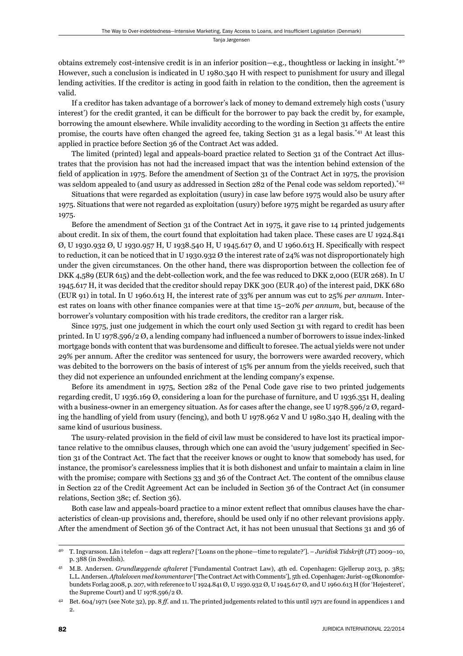obtains extremely cost-intensive credit is in an inferior position—e.g., thoughtless or lacking in insight.\*40 However, such a conclusion is indicated in U 1980.340 H with respect to punishment for usury and illegal lending activities. If the creditor is acting in good faith in relation to the condition, then the agreement is valid.

If a creditor has taken advantage of a borrower's lack of money to demand extremely high costs ('usury interest') for the credit granted, it can be difficult for the borrower to pay back the credit by, for example, borrowing the amount elsewhere. While invalidity according to the wording in Section 31 affects the entire promise, the courts have often changed the agreed fee, taking Section 31 as a legal basis.\*41 At least this applied in practice before Section 36 of the Contract Act was added.

The limited (printed) legal and appeals-board practice related to Section 31 of the Contract Act illustrates that the provision has not had the increased impact that was the intention behind extension of the field of application in 1975. Before the amendment of Section 31 of the Contract Act in 1975, the provision was seldom appealed to (and usury as addressed in Section 282 of the Penal code was seldom reported).<sup>\*42</sup>

Situations that were regarded as exploitation (usury) in case law before 1975 would also be usury after 1975. Situations that were not regarded as exploitation (usury) before 1975 might be regarded as usury after 1975.

Before the amendment of Section 31 of the Contract Act in 1975, it gave rise to 14 printed judgements about credit. In six of them, the court found that exploitation had taken place. These cases are U 1924.841  $\varnothing$ , U 1930.932  $\varnothing$ , U 1930.957 H, U 1938.540 H, U 1945.617  $\varnothing$ , and U 1960.613 H. Specifically with respect to reduction, it can be noticed that in U 1930.932 Ø the interest rate of 24% was not disproportionately high under the given circumstances. On the other hand, there was disproportion between the collection fee of DKK 4,589 (EUR 615) and the debt-collection work, and the fee was reduced to DKK 2,000 (EUR 268). In U 1945.617 H, it was decided that the creditor should repay DKK 300 (EUR 40) of the interest paid, DKK 680 (EUR 91) in total. In U 1960.613 H, the interest rate of 33% per annum was cut to 25% *per annum*. Interest rates on loans with other finance companies were at that time 15–20% *per annum*, but, because of the borrower's voluntary composition with his trade creditors, the creditor ran a larger risk.

Since 1975, just one judgement in which the court only used Section 31 with regard to credit has been printed. In U 1978.596/2  $\emptyset$ , a lending company had influenced a number of borrowers to issue index-linked mortgage bonds with content that was burdensome and difficult to foresee. The actual yields were not under 29% per annum. After the creditor was sentenced for usury, the borrowers were awarded recovery, which was debited to the borrowers on the basis of interest of 15% per annum from the yields received, such that they did not experience an unfounded enrichment at the lending company's expense.

Before its amendment in 1975, Section 282 of the Penal Code gave rise to two printed judgements regarding credit, U 1936.169 Ø, considering a loan for the purchase of furniture, and U 1936.351 H, dealing with a business-owner in an emergency situation. As for cases after the change, see U 1978.596/2  $\varnothing$ , regarding the handling of yield from usury (fencing), and both U 1978.962 V and U 1980.340 H, dealing with the same kind of usurious business.

The usury-related provision in the field of civil law must be considered to have lost its practical importance relative to the omnibus clauses, through which one can avoid the 'usury judgement' specified in Section 31 of the Contract Act. The fact that the receiver knows or ought to know that somebody has used, for instance, the promisor's carelessness implies that it is both dishonest and unfair to maintain a claim in line with the promise; compare with Sections 33 and 36 of the Contract Act. The content of the omnibus clause in Section 22 of the Credit Agreement Act can be included in Section 36 of the Contract Act (in consumer relations, Section 38c; cf. Section 36).

Both case law and appeals-board practice to a minor extent reflect that omnibus clauses have the characteristics of clean-up provisions and, therefore, should be used only if no other relevant provisions apply. After the amendment of Section 36 of the Contract Act, it has not been unusual that Sections 31 and 36 of

<sup>40</sup> T. Ingvarsson. Lån i telefon – dags att reglera? ['Loans on the phone—time to regulate?']. – *Juridisk Tidskrift* (JT) 2009–10, p. 388 (in Swedish).

<sup>41</sup> M.B. Andersen. *Grundlæggende aftaleret* ['Fundamental Contract Law), 4th ed. Copenhagen: Gjellerup 2013, p. 385; L.L. Andersen. *Aftaleloven med kommentarer* ['The Contract Act with Comments'], 5th ed. Copenhagen: Jurist- og Økonomforbundets Forlag 2008, p. 207, with reference to U 1924.841 Ø, U 1930.932 Ø, U 1945.617 Ø, and U 1960.613 H (for 'Højesteret', the Supreme Court) and U 1978.596/2 Ø.

<sup>42</sup> Bet. 604/1971 (see Note 32), pp. 8 *ff.* and 11. The printed judgements related to this until 1971 are found in appendices 1 and 2.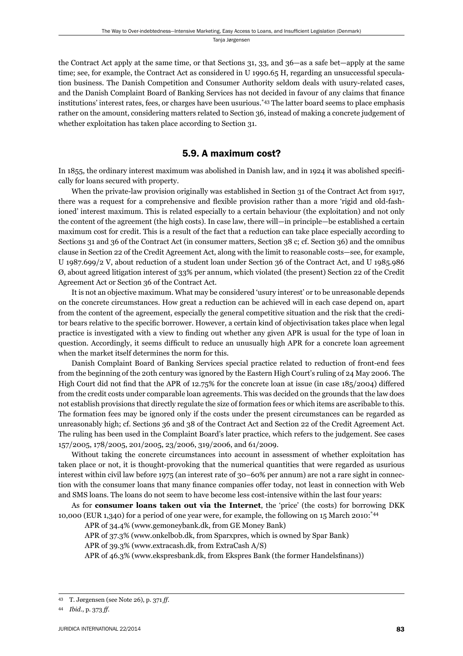the Contract Act apply at the same time, or that Sections 31, 33, and 36—as a safe bet—apply at the same time; see, for example, the Contract Act as considered in U 1990.65 H, regarding an unsuccessful speculation business. The Danish Competition and Consumer Authority seldom deals with usury-related cases, and the Danish Complaint Board of Banking Services has not decided in favour of any claims that finance institutions' interest rates, fees, or charges have been usurious.\*43 The latter board seems to place emphasis rather on the amount, considering matters related to Section 36, instead of making a concrete judgement of whether exploitation has taken place according to Section 31.

#### 5.9. A maximum cost?

In 1855, the ordinary interest maximum was abolished in Danish law, and in 1924 it was abolished specifically for loans secured with property.

When the private-law provision originally was established in Section 31 of the Contract Act from 1917, there was a request for a comprehensive and flexible provision rather than a more 'rigid and old-fashioned' interest maximum. This is related especially to a certain behaviour (the exploitation) and not only the content of the agreement (the high costs). In case law, there will—in principle—be established a certain maximum cost for credit. This is a result of the fact that a reduction can take place especially according to Sections 31 and 36 of the Contract Act (in consumer matters, Section 38 c; cf. Section 36) and the omnibus clause in Section 22 of the Credit Agreement Act, along with the limit to reasonable costs—see, for example, U 1987.699/2 V, about reduction of a student loan under Section 36 of the Contract Act, and U 1985.986 Ø, about agreed litigation interest of 33% per annum, which violated (the present) Section 22 of the Credit Agreement Act or Section 36 of the Contract Act.

It is not an objective maximum. What may be considered 'usury interest' or to be unreasonable depends on the concrete circumstances. How great a reduction can be achieved will in each case depend on, apart from the content of the agreement, especially the general competitive situation and the risk that the creditor bears relative to the specific borrower. However, a certain kind of objectivisation takes place when legal practice is investigated with a view to finding out whether any given APR is usual for the type of loan in question. Accordingly, it seems difficult to reduce an unusually high APR for a concrete loan agreement when the market itself determines the norm for this.

Danish Complaint Board of Banking Services special practice related to reduction of front-end fees from the beginning of the 20th century was ignored by the Eastern High Court's ruling of 24 May 2006. The High Court did not find that the APR of 12.75% for the concrete loan at issue (in case  $185/2004$ ) differed from the credit costs under comparable loan agreements. This was decided on the grounds that the law does not establish provisions that directly regulate the size of formation fees or which items are ascribable to this. The formation fees may be ignored only if the costs under the present circumstances can be regarded as unreasonably high; cf. Sections 36 and 38 of the Contract Act and Section 22 of the Credit Agreement Act. The ruling has been used in the Complaint Board's later practice, which refers to the judgement. See cases 157/2005, 178/2005, 201/2005, 23/2006, 319/2006, and 61/2009.

Without taking the concrete circumstances into account in assessment of whether exploitation has taken place or not, it is thought-provoking that the numerical quantities that were regarded as usurious interest within civil law before 1975 (an interest rate of 30–60% per annum) are not a rare sight in connection with the consumer loans that many finance companies offer today, not least in connection with Web and SMS loans. The loans do not seem to have become less cost-intensive within the last four years:

As for **consumer loans taken out via the Internet**, the 'price' (the costs) for borrowing DKK 10,000 (EUR 1,340) for a period of one year were, for example, the following on 15 March 2010:\*44

APR of 34.4% (www.gemoneybank.dk, from GE Money Bank)

APR of 37.3% (www.onkelbob.dk, from Sparxpres, which is owned by Spar Bank)

APR of 39.3% (www.extracash.dk, from ExtraCash A/S)

APR of 46.3% (www.ekspresbank.dk, from Ekspres Bank (the former Handelsfinans))

<sup>43</sup> T. Jørgensen (see Note 26), p. 371 *ff*.

<sup>44</sup> *Ibid*., p. 373 *ff*.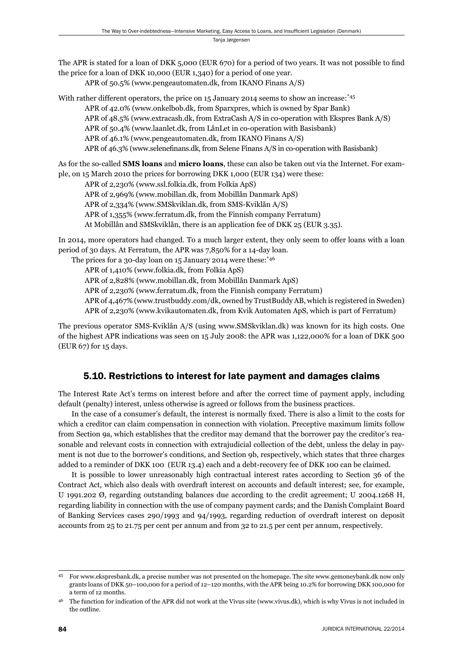The APR is stated for a loan of DKK  $5,000$  (EUR 670) for a period of two years. It was not possible to find the price for a loan of DKK 10,000 (EUR 1,340) for a period of one year. APR of 50.5% (www.pengeautomaten.dk, from IKANO Finans A/S)

With rather different operators, the price on 15 January 2014 seems to show an increase:<sup>\*45</sup> APR of 42.0% (www.onkelbob.dk, from Sparxpres, which is owned by Spar Bank) APR of 48.5% (www.extracash.dk, from ExtraCash A/S in co-operation with Ekspres Bank A/S) APR of 50.4% (www.laanlet.dk, from LånLet in co-operation with Basisbank) APR of 46.1% (www.pengeautomaten.dk, from IKANO Finans A/S) APR of 46.3% (www.selenefinans.dk, from Selene Finans A/S in co-operation with Basisbank)

As for the so-called **SMS loans** and **micro loans**, these can also be taken out via the Internet. For example, on 15 March 2010 the prices for borrowing DKK 1,000 (EUR 134) were these:

APR of 2,230% (www.ssl.folkia.dk, from Folkia ApS) APR of 2,969% (www.mobillan.dk, from Mobillån Danmark ApS) APR of 2,334% (www.SMSkviklan.dk, from SMS-Kviklån A/S) APR of 1,355% (www.ferratum.dk, from the Finnish company Ferratum) At Mobillån and SMSkviklån, there is an application fee of DKK 25 (EUR 3.35).

In 2014, more operators had changed. To a much larger extent, they only seem to offer loans with a loan period of 30 days. At Ferratum, the APR was 7,850% for a 14-day loan.

The prices for a 30-day loan on 15 January 2014 were these:  $*46$ 

APR of 1,410% (www.folkia.dk, from Folkia ApS)

APR of 2,828% (www.mobillan.dk, from Mobillån Danmark ApS)

APR of 2,230% (www.ferratum.dk, from the Finnish company Ferratum)

APR of 4,467% (www.trustbuddy.com/dk, owned by TrustBuddy AB, which is registered in Sweden) APR of 2,230% (www.kvikautomaten.dk, from Kvik Automaten ApS, which is part of Ferratum)

The previous operator SMS-Kviklån A/S (using www.SMSkviklan.dk) was known for its high costs. One of the highest APR indications was seen on 15 July 2008: the APR was 1,122,000% for a loan of DKK 500 (EUR 67) for 15 days.

## 5.10. Restrictions to interest for late payment and damages claims

The Interest Rate Act's terms on interest before and after the correct time of payment apply, including default (penalty) interest, unless otherwise is agreed or follows from the business practices.

In the case of a consumer's default, the interest is normally fixed. There is also a limit to the costs for which a creditor can claim compensation in connection with violation. Preceptive maximum limits follow from Section 9a, which establishes that the creditor may demand that the borrower pay the creditor's reasonable and relevant costs in connection with extrajudicial collection of the debt, unless the delay in payment is not due to the borrower's conditions, and Section 9b, respectively, which states that three charges added to a reminder of DKK 100 (EUR 13.4) each and a debt-recovery fee of DKK 100 can be claimed.

It is possible to lower unreasonably high contractual interest rates according to Section 36 of the Contract Act, which also deals with overdraft interest on accounts and default interest; see, for example, U 1991.202 Ø, regarding outstanding balances due according to the credit agreement; U 2004.1268 H, regarding liability in connection with the use of company payment cards; and the Danish Complaint Board of Banking Services cases 290/1993 and 94/1993, regarding reduction of overdraft interest on deposit accounts from 25 to 21.75 per cent per annum and from 32 to 21.5 per cent per annum, respectively.

<sup>45</sup> For www.ekspresbank.dk, a precise number was not presented on the homepage. The site www.gemoneybank.dk now only grants loans of DKK 50–100,000 for a period of 12–120 months, with the APR being 10.2% for borrowing DKK 100,000 for a term of 12 months.

<sup>46</sup> The function for indication of the APR did not work at the Vivus site (www.vivus.dk), which is why Vivus is not included in the outline.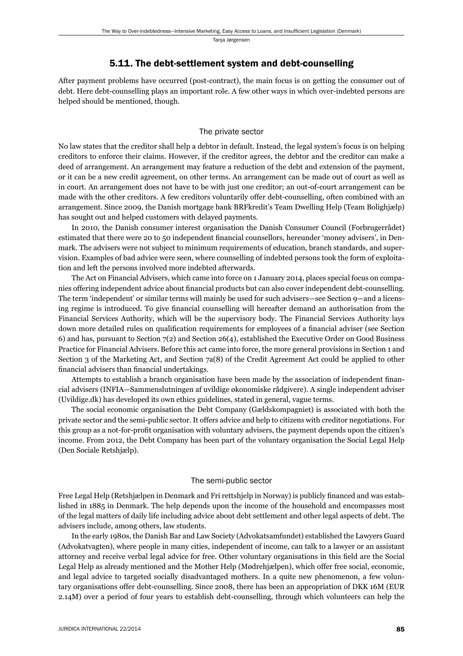#### 5.11. The debt-settlement system and debt-counselling

After payment problems have occurred (post-contract), the main focus is on getting the consumer out of debt. Here debt-counselling plays an important role. A few other ways in which over-indebted persons are helped should be mentioned, though.

#### The private sector

No law states that the creditor shall help a debtor in default. Instead, the legal system's focus is on helping creditors to enforce their claims. However, if the creditor agrees, the debtor and the creditor can make a deed of arrangement. An arrangement may feature a reduction of the debt and extension of the payment, or it can be a new credit agreement, on other terms. An arrangement can be made out of court as well as in court. An arrangement does not have to be with just one creditor; an out-of-court arrangement can be made with the other creditors. A few creditors voluntarily offer debt-counselling, often combined with an arrangement. Since 2009, the Danish mortgage bank BRFkredit's Team Dwelling Help (Team Bolighjælp) has sought out and helped customers with delayed payments.

In 2010, the Danish consumer interest organisation the Danish Consumer Council (Forbrugerrådet) estimated that there were 20 to 50 independent financial counsellors, hereunder 'money advisers', in Denmark. The advisers were not subject to minimum requirements of education, branch standards, and supervision. Examples of bad advice were seen, where counselling of indebted persons took the form of exploitation and left the persons involved more indebted afterwards.

The Act on Financial Advisers, which came into force on 1 January 2014, places special focus on companies offering independent advice about financial products but can also cover independent debt-counselling. The term 'independent' or similar terms will mainly be used for such advisers—see Section 9—and a licensing regime is introduced. To give financial counselling will hereafter demand an authorisation from the Financial Services Authority, which will be the supervisory body. The Financial Services Authority lays down more detailed rules on qualification requirements for employees of a financial adviser (see Section 6) and has, pursuant to Section 7(2) and Section 26(4), established the Executive Order on Good Business Practice for Financial Advisers. Before this act came into force, the more general provisions in Section 1 and Section 3 of the Marketing Act, and Section 7a(8) of the Credit Agreement Act could be applied to other financial advisers than financial undertakings.

Attempts to establish a branch organisation have been made by the association of independent financial advisers (INFIA—Sammenslutningen af uvildige økonomiske rådgivere). A single independent adviser (Uvildige.dk) has developed its own ethics guidelines, stated in general, vague terms.

The social economic organisation the Debt Company (Gældskompagniet) is associated with both the private sector and the semi-public sector. It offers advice and help to citizens with creditor negotiations. For this group as a not-for-profi t organisation with voluntary advisers, the payment depends upon the citizen's income. From 2012, the Debt Company has been part of the voluntary organisation the Social Legal Help (Den Sociale Retshjælp).

#### The semi-public sector

Free Legal Help (Retshjælpen in Denmark and Fri rettshjelp in Norway) is publicly financed and was established in 1885 in Denmark. The help depends upon the income of the household and encompasses most of the legal matters of daily life including advice about debt settlement and other legal aspects of debt. The advisers include, among others, law students.

In the early 1980s, the Danish Bar and Law Society (Advokatsamfundet) established the Lawyers Guard (Advokatvagten), where people in many cities, independent of income, can talk to a lawyer or an assistant attorney and receive verbal legal advice for free. Other voluntary organisations in this field are the Social Legal Help as already mentioned and the Mother Help (Mødrehjælpen), which offer free social, economic, and legal advice to targeted socially disadvantaged mothers. In a quite new phenomenon, a few voluntary organisations offer debt-counselling. Since 2008, there has been an appropriation of DKK 16M (EUR 2.14M) over a period of four years to establish debt-counselling, through which volunteers can help the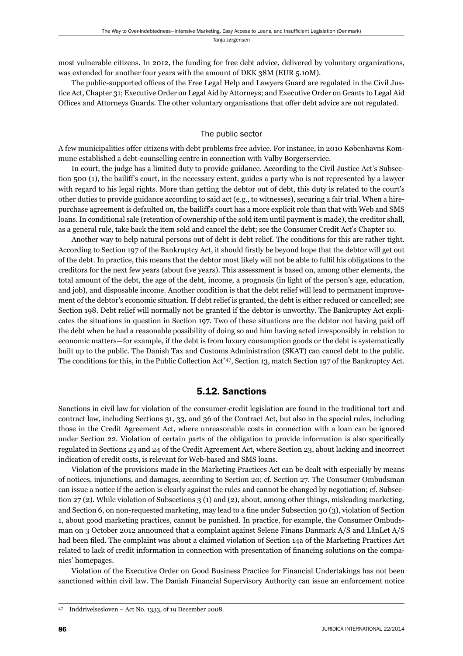most vulnerable citizens. In 2012, the funding for free debt advice, delivered by voluntary organizations, was extended for another four years with the amount of DKK 38M (EUR 5.10M).

The public-supported offices of the Free Legal Help and Lawyers Guard are regulated in the Civil Justice Act, Chapter 31; Executive Order on Legal Aid by Attorneys; and Executive Order on Grants to Legal Aid Offices and Attorneys Guards. The other voluntary organisations that offer debt advice are not regulated.

#### The public sector

A few municipalities offer citizens with debt problems free advice. For instance, in 2010 Københavns Kommune established a debt-counselling centre in connection with Valby Borgerservice.

In court, the judge has a limited duty to provide guidance. According to the Civil Justice Act's Subsection 500 (1), the bailiff's court, in the necessary extent, guides a party who is not represented by a lawyer with regard to his legal rights. More than getting the debtor out of debt, this duty is related to the court's other duties to provide guidance according to said act (e.g., to witnesses), securing a fair trial. When a hirepurchase agreement is defaulted on, the bailiff's court has a more explicit role than that with Web and SMS loans. In conditional sale (retention of ownership of the sold item until payment is made), the creditor shall, as a general rule, take back the item sold and cancel the debt; see the Consumer Credit Act's Chapter 10.

Another way to help natural persons out of debt is debt relief. The conditions for this are rather tight. According to Section 197 of the Bankruptcy Act, it should firstly be beyond hope that the debtor will get out of the debt. In practice, this means that the debtor most likely will not be able to fulfi l his obligations to the creditors for the next few years (about five years). This assessment is based on, among other elements, the total amount of the debt, the age of the debt, income, a prognosis (in light of the person's age, education, and job), and disposable income. Another condition is that the debt relief will lead to permanent improvement of the debtor's economic situation. If debt relief is granted, the debt is either reduced or cancelled; see Section 198. Debt relief will normally not be granted if the debtor is unworthy. The Bankruptcy Act explicates the situations in question in Section 197. Two of these situations are the debtor not having paid off the debt when he had a reasonable possibility of doing so and him having acted irresponsibly in relation to economic matters—for example, if the debt is from luxury consumption goods or the debt is systematically built up to the public. The Danish Tax and Customs Administration (SKAT) can cancel debt to the public. The conditions for this, in the Public Collection Act<sup>\*47</sup>, Section 13, match Section 197 of the Bankruptcy Act.

#### 5.12. Sanctions

Sanctions in civil law for violation of the consumer-credit legislation are found in the traditional tort and contract law, including Sections 31, 33, and 36 of the Contract Act, but also in the special rules, including those in the Credit Agreement Act, where unreasonable costs in connection with a loan can be ignored under Section 22. Violation of certain parts of the obligation to provide information is also specifically regulated in Sections 23 and 24 of the Credit Agreement Act, where Section 23, about lacking and incorrect indication of credit costs, is relevant for Web-based and SMS loans.

Violation of the provisions made in the Marketing Practices Act can be dealt with especially by means of notices, injunctions, and damages, according to Section 20; cf. Section 27. The Consumer Ombudsman can issue a notice if the action is clearly against the rules and cannot be changed by negotiation; cf. Subsection 27 (2). While violation of Subsections 3 (1) and (2), about, among other things, misleading marketing, and Section 6, on non-requested marketing, may lead to a fine under Subsection 30 (3), violation of Section 1, about good marketing practices, cannot be punished. In practice, for example, the Consumer Ombudsman on 3 October 2012 announced that a complaint against Selene Finans Danmark A/S and LånLet A/S had been filed. The complaint was about a claimed violation of Section 14a of the Marketing Practices Act related to lack of credit information in connection with presentation of financing solutions on the companies' homepages.

Violation of the Executive Order on Good Business Practice for Financial Undertakings has not been sanctioned within civil law. The Danish Financial Supervisory Authority can issue an enforcement notice

<sup>47</sup> Inddrivelsesloven – Act No. 1333, of 19 December 2008.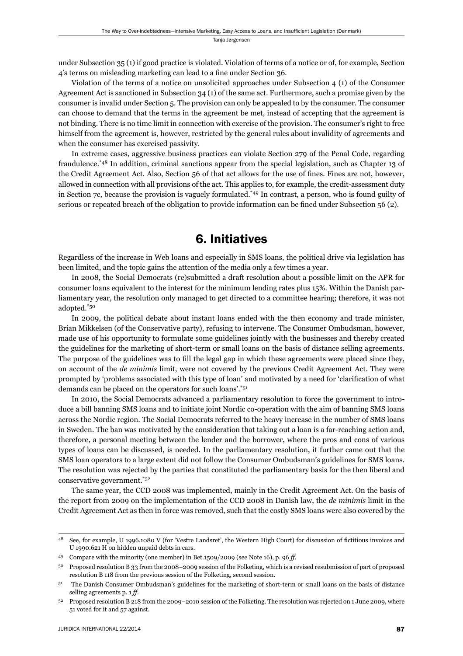under Subsection 35 (1) if good practice is violated. Violation of terms of a notice or of, for example, Section 4's terms on misleading marketing can lead to a fine under Section 36.

Violation of the terms of a notice on unsolicited approaches under Subsection 4 (1) of the Consumer Agreement Act is sanctioned in Subsection 34 (1) of the same act. Furthermore, such a promise given by the consumer is invalid under Section 5. The provision can only be appealed to by the consumer. The consumer can choose to demand that the terms in the agreement be met, instead of accepting that the agreement is not binding. There is no time limit in connection with exercise of the provision. The consumer's right to free himself from the agreement is, however, restricted by the general rules about invalidity of agreements and when the consumer has exercised passivity.

In extreme cases, aggressive business practices can violate Section 279 of the Penal Code, regarding fraudulence.\*48 In addition, criminal sanctions appear from the special legislation, such as Chapter 13 of the Credit Agreement Act. Also, Section 56 of that act allows for the use of fines. Fines are not, however, allowed in connection with all provisions of the act. This applies to, for example, the credit-assessment duty in Section 7c, because the provision is vaguely formulated.\*49 In contrast, a person, who is found guilty of serious or repeated breach of the obligation to provide information can be fined under Subsection  $56 (2)$ .

# 6. Initiatives

Regardless of the increase in Web loans and especially in SMS loans, the political drive via legislation has been limited, and the topic gains the attention of the media only a few times a year.

In 2008, the Social Democrats (re)submitted a draft resolution about a possible limit on the APR for consumer loans equivalent to the interest for the minimum lending rates plus 15%. Within the Danish parliamentary year, the resolution only managed to get directed to a committee hearing; therefore, it was not adopted.\*50

In 2009, the political debate about instant loans ended with the then economy and trade minister, Brian Mikkelsen (of the Conservative party), refusing to intervene. The Consumer Ombudsman, however, made use of his opportunity to formulate some guidelines jointly with the businesses and thereby created the guidelines for the marketing of short-term or small loans on the basis of distance selling agreements. The purpose of the guidelines was to fill the legal gap in which these agreements were placed since they, on account of the *de minimis* limit, were not covered by the previous Credit Agreement Act. They were prompted by 'problems associated with this type of loan' and motivated by a need for 'clarification of what demands can be placed on the operators for such loans'.\*51

In 2010, the Social Democrats advanced a parliamentary resolution to force the government to introduce a bill banning SMS loans and to initiate joint Nordic co-operation with the aim of banning SMS loans across the Nordic region. The Social Democrats referred to the heavy increase in the number of SMS loans in Sweden. The ban was motivated by the consideration that taking out a loan is a far-reaching action and, therefore, a personal meeting between the lender and the borrower, where the pros and cons of various types of loans can be discussed, is needed. In the parliamentary resolution, it further came out that the SMS loan operators to a large extent did not follow the Consumer Ombudsman's guidelines for SMS loans. The resolution was rejected by the parties that constituted the parliamentary basis for the then liberal and conservative government.\*52

The same year, the CCD 2008 was implemented, mainly in the Credit Agreement Act. On the basis of the report from 2009 on the implementation of the CCD 2008 in Danish law, the *de minimis* limit in the Credit Agreement Act as then in force was removed, such that the costly SMS loans were also covered by the

<sup>48</sup> See, for example, U 1996.1080 V (for 'Vestre Landsret', the Western High Court) for discussion of fictitious invoices and U 1990.621 H on hidden unpaid debts in cars.

<sup>49</sup> Compare with the minority (one member) in Bet.1509/2009 (see Note 16), p. 96 *ff*.

<sup>50</sup> Proposed resolution B 33 from the 2008–2009 session of the Folketing, which is a revised resubmission of part of proposed resolution B 118 from the previous session of the Folketing, second session.

<sup>&</sup>lt;sup>51</sup> The Danish Consumer Ombudsman's guidelines for the marketing of short-term or small loans on the basis of distance selling agreements p. 1 *ff*.

<sup>52</sup> Proposed resolution B 218 from the 2009–2010 session of the Folketing. The resolution was rejected on 1 June 2009, where 51 voted for it and 57 against.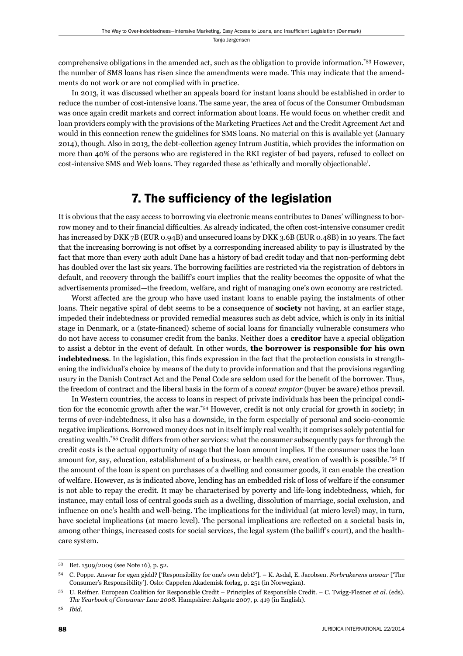comprehensive obligations in the amended act, such as the obligation to provide information.\*53 However, the number of SMS loans has risen since the amendments were made. This may indicate that the amendments do not work or are not complied with in practice.

In 2013, it was discussed whether an appeals board for instant loans should be established in order to reduce the number of cost-intensive loans. The same year, the area of focus of the Consumer Ombudsman was once again credit markets and correct information about loans. He would focus on whether credit and loan providers comply with the provisions of the Marketing Practices Act and the Credit Agreement Act and would in this connection renew the guidelines for SMS loans. No material on this is available yet (January 2014), though. Also in 2013, the debt-collection agency Intrum Justitia, which provides the information on more than 40% of the persons who are registered in the RKI register of bad payers, refused to collect on cost-intensive SMS and Web loans. They regarded these as 'ethically and morally objectionable'.

# 7. The sufficiency of the legislation

It is obvious that the easy access to borrowing via electronic means contributes to Danes' willingness to borrow money and to their financial difficulties. As already indicated, the often cost-intensive consumer credit has increased by DKK 7B (EUR 0.94B) and unsecured loans by DKK 3.6B (EUR 0.48B) in 10 years. The fact that the increasing borrowing is not offset by a corresponding increased ability to pay is illustrated by the fact that more than every 20th adult Dane has a history of bad credit today and that non-performing debt has doubled over the last six years. The borrowing facilities are restricted via the registration of debtors in default, and recovery through the bailiff's court implies that the reality becomes the opposite of what the advertisements promised—the freedom, welfare, and right of managing one's own economy are restricted.

Worst affected are the group who have used instant loans to enable paying the instalments of other loans. Their negative spiral of debt seems to be a consequence of **society** not having, at an earlier stage, impeded their indebtedness or provided remedial measures such as debt advice, which is only in its initial stage in Denmark, or a (state-financed) scheme of social loans for financially vulnerable consumers who do not have access to consumer credit from the banks. Neither does a **creditor** have a special obligation to assist a debtor in the event of default. In other words, **the borrower is responsible for his own indebtedness**. In the legislation, this finds expression in the fact that the protection consists in strengthening the individual's choice by means of the duty to provide information and that the provisions regarding usury in the Danish Contract Act and the Penal Code are seldom used for the benefit of the borrower. Thus, the freedom of contract and the liberal basis in the form of a *caveat emptor* (buyer be aware) ethos prevail.

In Western countries, the access to loans in respect of private individuals has been the principal condition for the economic growth after the war.\*54 However, credit is not only crucial for growth in society; in terms of over-indebtedness, it also has a downside, in the form especially of personal and socio-economic negative implications. Borrowed money does not in itself imply real wealth; it comprises solely potential for creating wealth.\*55 Credit differs from other services: what the consumer subsequently pays for through the credit costs is the actual opportunity of usage that the loan amount implies. If the consumer uses the loan amount for, say, education, establishment of a business, or health care, creation of wealth is possible.\*56 If the amount of the loan is spent on purchases of a dwelling and consumer goods, it can enable the creation of welfare. However, as is indicated above, lending has an embedded risk of loss of welfare if the consumer is not able to repay the credit. It may be characterised by poverty and life-long indebtedness, which, for instance, may entail loss of central goods such as a dwelling, dissolution of marriage, social exclusion, and influence on one's health and well-being. The implications for the individual (at micro level) may, in turn, have societal implications (at macro level). The personal implications are reflected on a societal basis in, among other things, increased costs for social services, the legal system (the bailiff's court), and the healthcare system.

<sup>53</sup> Bet. 1509/2009 (see Note 16), p. 52.

<sup>54</sup> C. Poppe. Ansvar for egen gjeld? ['Responsibility for one's own debt?']. – K. Asdal, E. Jacobsen. *Forbrukerens ansvar* ['The Consumer's Responsibility']. Oslo: Cappelen Akademisk forlag, p. 251 (in Norwegian).

<sup>55</sup> U. Reifner. European Coalition for Responsible Credit – Principles of Responsible Credit. – C. Twigg-Flesner *et al*. (eds). *The Yearbook of Consumer Law 2008*. Hampshire: Ashgate 2007, p. 419 (in English).

<sup>56</sup> *Ibid*.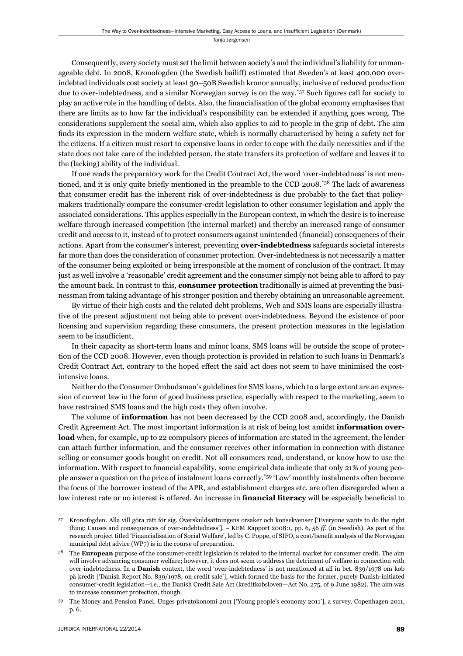Consequently, every society must set the limit between society's and the individual's liability for unmanageable debt. In 2008, Kronofogden (the Swedish bailiff) estimated that Sweden's at least 400,000 overindebted individuals cost society at least 30–50B Swedish kronor annually, inclusive of reduced production due to over-indebtedness, and a similar Norwegian survey is on the way.<sup>\*57</sup> Such figures call for society to play an active role in the handling of debts. Also, the financialisation of the global economy emphasises that there are limits as to how far the individual's responsibility can be extended if anything goes wrong. The considerations supplement the social aim, which also applies to aid to people in the grip of debt. The aim finds its expression in the modern welfare state, which is normally characterised by being a safety net for the citizens. If a citizen must resort to expensive loans in order to cope with the daily necessities and if the state does not take care of the indebted person, the state transfers its protection of welfare and leaves it to the (lacking) ability of the individual.

If one reads the preparatory work for the Credit Contract Act, the word 'over-indebtedness' is not mentioned, and it is only quite briefly mentioned in the preamble to the CCD 2008.<sup>\*58</sup> The lack of awareness that consumer credit has the inherent risk of over-indebtedness is due probably to the fact that policymakers traditionally compare the consumer-credit legislation to other consumer legislation and apply the associated considerations. This applies especially in the European context, in which the desire is to increase welfare through increased competition (the internal market) and thereby an increased range of consumer credit and access to it, instead of to protect consumers against unintended (financial) consequences of their actions. Apart from the consumer's interest, preventing **over-indebtedness** safeguards societal interests far more than does the consideration of consumer protection. Over-indebtedness is not necessarily a matter of the consumer being exploited or being irresponsible at the moment of conclusion of the contract. It may just as well involve a 'reasonable' credit agreement and the consumer simply not being able to afford to pay the amount back. In contrast to this, **consumer protection** traditionally is aimed at preventing the businessman from taking advantage of his stronger position and thereby obtaining an unreasonable agreement.

By virtue of their high costs and the related debt problems, Web and SMS loans are especially illustrative of the present adjustment not being able to prevent over-indebtedness. Beyond the existence of poor licensing and supervision regarding these consumers, the present protection measures in the legislation seem to be insufficient.

In their capacity as short-term loans and minor loans, SMS loans will be outside the scope of protection of the CCD 2008. However, even though protection is provided in relation to such loans in Denmark's Credit Contract Act, contrary to the hoped effect the said act does not seem to have minimised the costintensive loans.

Neither do the Consumer Ombudsman's guidelines for SMS loans, which to a large extent are an expression of current law in the form of good business practice, especially with respect to the marketing, seem to have restrained SMS loans and the high costs they often involve.

The volume of **information** has not been decreased by the CCD 2008 and, accordingly, the Danish Credit Agreement Act. The most important information is at risk of being lost amidst **information overload** when, for example, up to 22 compulsory pieces of information are stated in the agreement, the lender can attach further information, and the consumer receives other information in connection with distance selling or consumer goods bought on credit. Not all consumers read, understand, or know how to use the information. With respect to financial capability, some empirical data indicate that only 21% of young people answer a question on the price of instalment loans correctly.\*59 'Low' monthly instalments often become the focus of the borrower instead of the APR, and establishment charges etc. are often disregarded when a low interest rate or no interest is offered. An increase in **financial literacy** will be especially beneficial to

<sup>57</sup> Kronofogden. Alla vill göra rätt för sig. Överskuldsättningens orsaker och konsekvenser ['Everyone wants to do the right thing: Causes and consequences of over-indebtedness']. – KFM Rapport 2008:1, pp. 6, 56 *ff.* (in Swedish). As part of the research project titled 'Financialisation of Social Welfare', led by C. Poppe, of SIFO, a cost/benefi t analysis of the Norwegian municipal debt advice (WP7) is in the course of preparation.

<sup>58</sup> The **European** purpose of the consumer-credit legislation is related to the internal market for consumer credit. The aim will involve advancing consumer welfare; however, it does not seem to address the detriment of welfare in connection with over-indebtedness. In a **Danish** context, the word 'over-indebtedness' is not mentioned at all in bet. 839/1978 om køb på kredit ['Danish Report No. 839/1978, on credit sale'], which formed the basis for the former, purely Danish-initiated consumer-credit legislation—i.e., the Danish Credit Sale Act (kreditkøbsloven—Act No. 275, of 9 June 1982). The aim was to increase consumer protection, though.

<sup>59</sup> The Money and Pension Panel. Unges privatøkonomi 2011 ['Young people's economy 2011'], a survey. Copenhagen 2011, p. 6.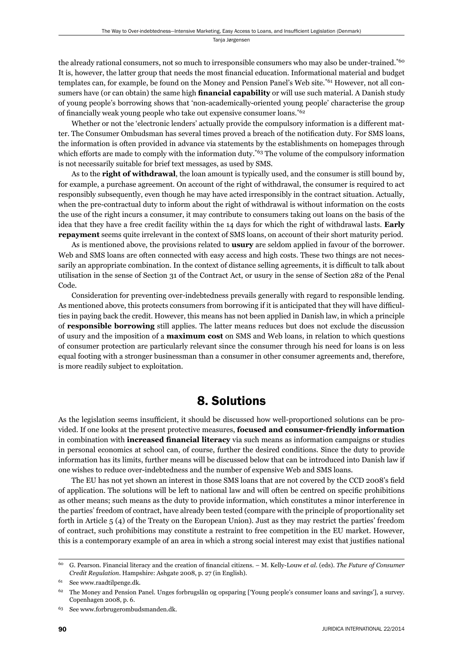the already rational consumers, not so much to irresponsible consumers who may also be under-trained.\*60 It is, however, the latter group that needs the most financial education. Informational material and budget templates can, for example, be found on the Money and Pension Panel's Web site.\*61 However, not all consumers have (or can obtain) the same high **financial capability** or will use such material. A Danish study of young people's borrowing shows that 'non-academically-oriented young people' characterise the group of financially weak young people who take out expensive consumer loans.<sup>\*62</sup>

Whether or not the 'electronic lenders' actually provide the compulsory information is a different matter. The Consumer Ombudsman has several times proved a breach of the notification duty. For SMS loans, the information is often provided in advance via statements by the establishments on homepages through which efforts are made to comply with the information duty.<sup>\*63</sup> The volume of the compulsory information is not necessarily suitable for brief text messages, as used by SMS.

As to the **right of withdrawal**, the loan amount is typically used, and the consumer is still bound by, for example, a purchase agreement. On account of the right of withdrawal, the consumer is required to act responsibly subsequently, even though he may have acted irresponsibly in the contract situation. Actually, when the pre-contractual duty to inform about the right of withdrawal is without information on the costs the use of the right incurs a consumer, it may contribute to consumers taking out loans on the basis of the idea that they have a free credit facility within the 14 days for which the right of withdrawal lasts. **Early repayment** seems quite irrelevant in the context of SMS loans, on account of their short maturity period.

As is mentioned above, the provisions related to **usury** are seldom applied in favour of the borrower. Web and SMS loans are often connected with easy access and high costs. These two things are not necessarily an appropriate combination. In the context of distance selling agreements, it is difficult to talk about utilisation in the sense of Section 31 of the Contract Act, or usury in the sense of Section 282 of the Penal Code.

Consideration for preventing over-indebtedness prevails generally with regard to responsible lending. As mentioned above, this protects consumers from borrowing if it is anticipated that they will have difficulties in paying back the credit. However, this means has not been applied in Danish law, in which a principle of **responsible borrowing** still applies. The latter means reduces but does not exclude the discussion of usury and the imposition of a **maximum cost** on SMS and Web loans, in relation to which questions of consumer protection are particularly relevant since the consumer through his need for loans is on less equal footing with a stronger businessman than a consumer in other consumer agreements and, therefore, is more readily subject to exploitation.

# 8. Solutions

As the legislation seems insufficient, it should be discussed how well-proportioned solutions can be provided. If one looks at the present protective measures, **focused and consumer-friendly information** in combination with **increased financial literacy** via such means as information campaigns or studies in personal economics at school can, of course, further the desired conditions. Since the duty to provide information has its limits, further means will be discussed below that can be introduced into Danish law if one wishes to reduce over-indebtedness and the number of expensive Web and SMS loans.

The EU has not yet shown an interest in those SMS loans that are not covered by the CCD 2008's field of application. The solutions will be left to national law and will often be centred on specifi c prohibitions as other means; such means as the duty to provide information, which constitutes a minor interference in the parties' freedom of contract, have already been tested (compare with the principle of proportionality set forth in Article 5 (4) of the Treaty on the European Union). Just as they may restrict the parties' freedom of contract, such prohibitions may constitute a restraint to free competition in the EU market. However, this is a contemporary example of an area in which a strong social interest may exist that justifies national

<sup>6.</sup> Pearson. Financial literacy and the creation of financial citizens. – M. Kelly-Louw *et al.* (eds). The Future of Consumer *Credit Regulation*. Hampshire: Ashgate 2008, p. 27 (in English).

<sup>61</sup> See www.raadtilpenge.dk.

<sup>62</sup> The Money and Pension Panel. Unges forbrugslån og opsparing ['Young people's consumer loans and savings'], a survey. Copenhagen 2008, p. 6.

<sup>63</sup> See www.forbrugerombudsmanden.dk.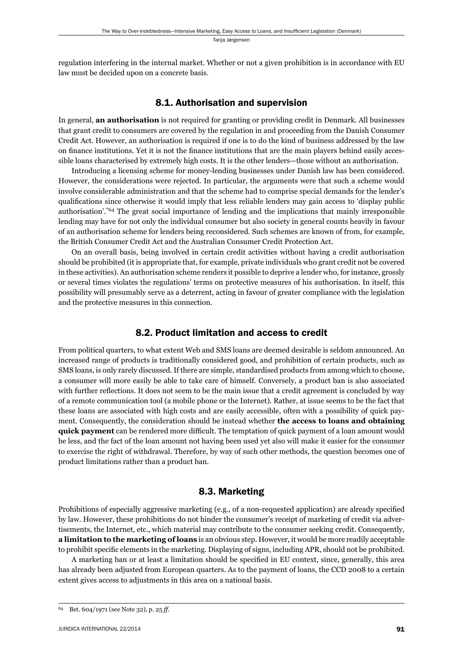regulation interfering in the internal market. Whether or not a given prohibition is in accordance with EU law must be decided upon on a concrete basis.

## 8.1. Authorisation and supervision

In general, **an authorisation** is not required for granting or providing credit in Denmark. All businesses that grant credit to consumers are covered by the regulation in and proceeding from the Danish Consumer Credit Act. However, an authorisation is required if one is to do the kind of business addressed by the law on finance institutions. Yet it is not the finance institutions that are the main players behind easily accessible loans characterised by extremely high costs. It is the other lenders—those without an authorisation.

Introducing a licensing scheme for money-lending businesses under Danish law has been considered. However, the considerations were rejected. In particular, the arguments were that such a scheme would involve considerable administration and that the scheme had to comprise special demands for the lender's qualifi cations since otherwise it would imply that less reliable lenders may gain access to 'display public authorisation'.\*64 The great social importance of lending and the implications that mainly irresponsible lending may have for not only the individual consumer but also society in general counts heavily in favour of an authorisation scheme for lenders being reconsidered. Such schemes are known of from, for example, the British Consumer Credit Act and the Australian Consumer Credit Protection Act.

On an overall basis, being involved in certain credit activities without having a credit authorisation should be prohibited (it is appropriate that, for example, private individuals who grant credit not be covered in these activities). An authorisation scheme renders it possible to deprive a lender who, for instance, grossly or several times violates the regulations' terms on protective measures of his authorisation. In itself, this possibility will presumably serve as a deterrent, acting in favour of greater compliance with the legislation and the protective measures in this connection.

## 8.2. Product limitation and access to credit

From political quarters, to what extent Web and SMS loans are deemed desirable is seldom announced. An increased range of products is traditionally considered good, and prohibition of certain products, such as SMS loans, is only rarely discussed. If there are simple, standardised products from among which to choose, a consumer will more easily be able to take care of himself. Conversely, a product ban is also associated with further reflections. It does not seem to be the main issue that a credit agreement is concluded by way of a remote communication tool (a mobile phone or the Internet). Rather, at issue seems to be the fact that these loans are associated with high costs and are easily accessible, often with a possibility of quick payment. Consequently, the consideration should be instead whether **the access to loans and obtaining quick payment** can be rendered more difficult. The temptation of quick payment of a loan amount would be less, and the fact of the loan amount not having been used yet also will make it easier for the consumer to exercise the right of withdrawal. Therefore, by way of such other methods, the question becomes one of product limitations rather than a product ban.

## 8.3. Marketing

Prohibitions of especially aggressive marketing (e.g., of a non-requested application) are already specified by law. However, these prohibitions do not hinder the consumer's receipt of marketing of credit via advertisements, the Internet, etc., which material may contribute to the consumer seeking credit. Consequently, **a limitation to the marketing of loans** is an obvious step. However, it would be more readily acceptable to prohibit specifi c elements in the marketing. Displaying of signs, including APR, should not be prohibited.

A marketing ban or at least a limitation should be specified in EU context, since, generally, this area has already been adjusted from European quarters. As to the payment of loans, the CCD 2008 to a certain extent gives access to adjustments in this area on a national basis.

<sup>64</sup> Bet. 604/1971 (see Note 32), p. 25 *ff*.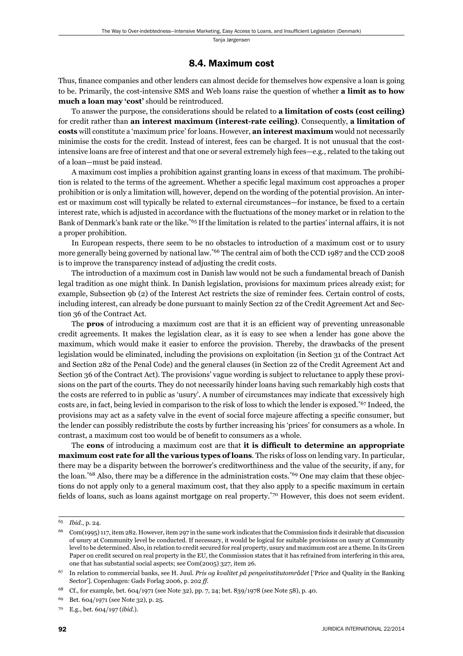#### 8.4. Maximum cost

Thus, finance companies and other lenders can almost decide for themselves how expensive a loan is going to be. Primarily, the cost-intensive SMS and Web loans raise the question of whether **a limit as to how much a loan may 'cost'** should be reintroduced.

To answer the purpose, the considerations should be related to **a limitation of costs (cost ceiling)** for credit rather than **an interest maximum (interest-rate ceiling)**. Consequently, **a limitation of costs** will constitute a 'maximum price' for loans. However, **an interest maximum** would not necessarily minimise the costs for the credit. Instead of interest, fees can be charged. It is not unusual that the costintensive loans are free of interest and that one or several extremely high fees—e.g., related to the taking out of a loan—must be paid instead.

A maximum cost implies a prohibition against granting loans in excess of that maximum. The prohibition is related to the terms of the agreement. Whether a specific legal maximum cost approaches a proper prohibition or is only a limitation will, however, depend on the wording of the potential provision. An interest or maximum cost will typically be related to external circumstances—for instance, be fixed to a certain interest rate, which is adjusted in accordance with the fluctuations of the money market or in relation to the Bank of Denmark's bank rate or the like.\*65 If the limitation is related to the parties' internal affairs, it is not a proper prohibition.

In European respects, there seem to be no obstacles to introduction of a maximum cost or to usury more generally being governed by national law.\*66 The central aim of both the CCD 1987 and the CCD 2008 is to improve the transparency instead of adjusting the credit costs.

The introduction of a maximum cost in Danish law would not be such a fundamental breach of Danish legal tradition as one might think. In Danish legislation, provisions for maximum prices already exist; for example, Subsection 9b (2) of the Interest Act restricts the size of reminder fees. Certain control of costs, including interest, can already be done pursuant to mainly Section 22 of the Credit Agreement Act and Section 36 of the Contract Act.

The **pros** of introducing a maximum cost are that it is an efficient way of preventing unreasonable credit agreements. It makes the legislation clear, as it is easy to see when a lender has gone above the maximum, which would make it easier to enforce the provision. Thereby, the drawbacks of the present legislation would be eliminated, including the provisions on exploitation (in Section 31 of the Contract Act and Section 282 of the Penal Code) and the general clauses (in Section 22 of the Credit Agreement Act and Section 36 of the Contract Act). The provisions' vague wording is subject to reluctance to apply these provisions on the part of the courts. They do not necessarily hinder loans having such remarkably high costs that the costs are referred to in public as 'usury'. A number of circumstances may indicate that excessively high costs are, in fact, being levied in comparison to the risk of loss to which the lender is exposed.\*67 Indeed, the provisions may act as a safety valve in the event of social force majeure affecting a specific consumer, but the lender can possibly redistribute the costs by further increasing his 'prices' for consumers as a whole. In contrast, a maximum cost too would be of benefit to consumers as a whole.

The **cons** of introducing a maximum cost are that **it is difficult to determine an appropriate maximum cost rate for all the various types of loans**. The risks of loss on lending vary. In particular, there may be a disparity between the borrower's creditworthiness and the value of the security, if any, for the loan.<sup>\*68</sup> Also, there may be a difference in the administration costs.<sup>\*69</sup> One may claim that these objections do not apply only to a general maximum cost, that they also apply to a specific maximum in certain fields of loans, such as loans against mortgage on real property.<sup>\*70</sup> However, this does not seem evident.

<sup>65</sup> *Ibid.*, p. 24.

Com(1995) 117, item 282. However, item 297 in the same work indicates that the Commission finds it desirable that discussion of usury at Community level be conducted. If necessary, it would be logical for suitable provisions on usury at Community level to be determined. Also, in relation to credit secured for real property, usury and maximum cost are a theme. In its Green Paper on credit secured on real property in the EU, the Commission states that it has refrained from interfering in this area, one that has substantial social aspects; see Com(2005) 327, item 26.

<sup>67</sup> In relation to commercial banks, see H. Juul. *Pris og kvalitet på pengeinstitutområdet* ['Price and Quality in the Banking Sector']. Copenhagen: Gads Forlag 2006, p. 202 *ff*.

<sup>68</sup> Cf., for example, bet. 604/1971 (see Note 32), pp. 7, 24; bet. 839/1978 (see Note 58), p. 40.

<sup>69</sup> Bet. 604/1971 (see Note 32), p. 25.

<sup>70</sup> E.g., bet. 604/197 (*ibid*.).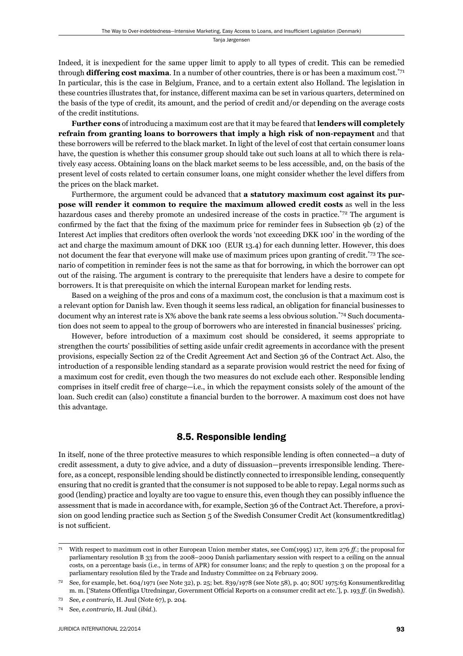Indeed, it is inexpedient for the same upper limit to apply to all types of credit. This can be remedied through **differing cost maxima**. In a number of other countries, there is or has been a maximum cost.<sup>\*71</sup> In particular, this is the case in Belgium, France, and to a certain extent also Holland. The legislation in these countries illustrates that, for instance, different maxima can be set in various quarters, determined on the basis of the type of credit, its amount, and the period of credit and/or depending on the average costs of the credit institutions.

**Further cons** of introducing a maximum cost are that it may be feared that **lenders will completely refrain from granting loans to borrowers that imply a high risk of non-repayment** and that these borrowers will be referred to the black market. In light of the level of cost that certain consumer loans have, the question is whether this consumer group should take out such loans at all to which there is relatively easy access. Obtaining loans on the black market seems to be less accessible, and, on the basis of the present level of costs related to certain consumer loans, one might consider whether the level differs from the prices on the black market.

Furthermore, the argument could be advanced that **a statutory maximum cost against its purpose will render it common to require the maximum allowed credit costs** as well in the less hazardous cases and thereby promote an undesired increase of the costs in practice.<sup>\*72</sup> The argument is confirmed by the fact that the fixing of the maximum price for reminder fees in Subsection 9b (2) of the Interest Act implies that creditors often overlook the words 'not exceeding DKK 100' in the wording of the act and charge the maximum amount of DKK 100 (EUR 13.4) for each dunning letter. However, this does not document the fear that everyone will make use of maximum prices upon granting of credit.<sup>\*73</sup> The scenario of competition in reminder fees is not the same as that for borrowing, in which the borrower can opt out of the raising. The argument is contrary to the prerequisite that lenders have a desire to compete for borrowers. It is that prerequisite on which the internal European market for lending rests.

Based on a weighing of the pros and cons of a maximum cost, the conclusion is that a maximum cost is a relevant option for Danish law. Even though it seems less radical, an obligation for financial businesses to document why an interest rate is X% above the bank rate seems a less obvious solution.\*74 Such documentation does not seem to appeal to the group of borrowers who are interested in financial businesses' pricing.

However, before introduction of a maximum cost should be considered, it seems appropriate to strengthen the courts' possibilities of setting aside unfair credit agreements in accordance with the present provisions, especially Section 22 of the Credit Agreement Act and Section 36 of the Contract Act. Also, the introduction of a responsible lending standard as a separate provision would restrict the need for fixing of a maximum cost for credit, even though the two measures do not exclude each other. Responsible lending comprises in itself credit free of charge—i.e., in which the repayment consists solely of the amount of the loan. Such credit can (also) constitute a financial burden to the borrower. A maximum cost does not have this advantage.

## 8.5. Responsible lending

In itself, none of the three protective measures to which responsible lending is often connected—a duty of credit assessment, a duty to give advice, and a duty of dissuasion—prevents irresponsible lending. Therefore, as a concept, responsible lending should be distinctly connected to irresponsible lending, consequently ensuring that no credit is granted that the consumer is not supposed to be able to repay. Legal norms such as good (lending) practice and loyalty are too vague to ensure this, even though they can possibly influence the assessment that is made in accordance with, for example, Section 36 of the Contract Act. Therefore, a provision on good lending practice such as Section 5 of the Swedish Consumer Credit Act ( konsumentkreditlag) is not sufficient.

<sup>71</sup> With respect to maximum cost in other European Union member states, see Com(1995) 117, item 276 *ff.*; the proposal for parliamentary resolution B 33 from the 2008–2009 Danish parliamentary session with respect to a ceiling on the annual costs, on a percentage basis (i.e., in terms of APR) for consumer loans; and the reply to question 3 on the proposal for a parliamentary resolution filed by the Trade and Industry Committee on 24 February 2009.

<sup>72</sup> See, for example, bet. 604/1971 (see Note 32), p. 25; bet. 839/1978 (see Note 58), p. 40; SOU 1975:63 Konsumentkreditlag m. m. ['Statens Offentliga Utredningar, Government Official Reports on a consumer credit act etc.'], p. 193 *ff*. (in Swedish).

<sup>73</sup> See, *e contrario*, H. Juul (Note 67), p. 204.

<sup>74</sup> See, *e.contrario*, H. Juul (*ibid*.).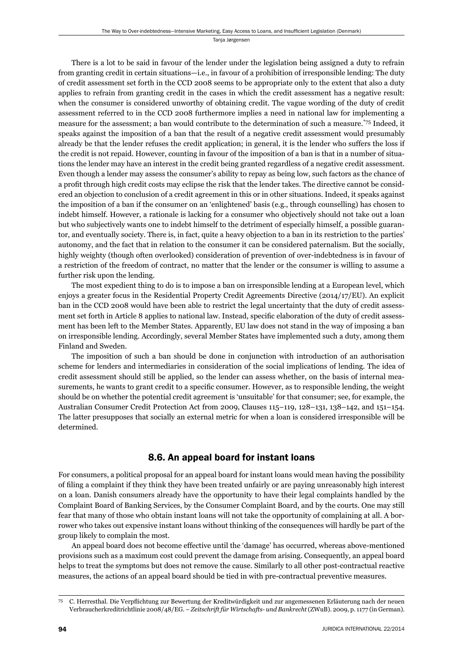There is a lot to be said in favour of the lender under the legislation being assigned a duty to refrain from granting credit in certain situations—i.e., in favour of a prohibition of irresponsible lending: The duty of credit assessment set forth in the CCD 2008 seems to be appropriate only to the extent that also a duty applies to refrain from granting credit in the cases in which the credit assessment has a negative result: when the consumer is considered unworthy of obtaining credit. The vague wording of the duty of credit assessment referred to in the CCD 2008 furthermore implies a need in national law for implementing a measure for the assessment; a ban would contribute to the determination of such a measure.\*75 Indeed, it speaks against the imposition of a ban that the result of a negative credit assessment would presumably already be that the lender refuses the credit application; in general, it is the lender who suffers the loss if the credit is not repaid. However, counting in favour of the imposition of a ban is that in a number of situations the lender may have an interest in the credit being granted regardless of a negative credit assessment. Even though a lender may assess the consumer's ability to repay as being low, such factors as the chance of a profit through high credit costs may eclipse the risk that the lender takes. The directive cannot be considered an objection to conclusion of a credit agreement in this or in other situations. Indeed, it speaks against the imposition of a ban if the consumer on an 'enlightened' basis (e.g., through counselling) has chosen to indebt himself. However, a rationale is lacking for a consumer who objectively should not take out a loan but who subjectively wants one to indebt himself to the detriment of especially himself, a possible guarantor, and eventually society. There is, in fact, quite a heavy objection to a ban in its restriction to the parties' autonomy, and the fact that in relation to the consumer it can be considered paternalism. But the socially, highly weighty (though often overlooked) consideration of prevention of over-indebtedness is in favour of a restriction of the freedom of contract, no matter that the lender or the consumer is willing to assume a further risk upon the lending.

The most expedient thing to do is to impose a ban on irresponsible lending at a European level, which enjoys a greater focus in the Residential Property Credit Agreements Directive (2014/17/EU). An explicit ban in the CCD 2008 would have been able to restrict the legal uncertainty that the duty of credit assessment set forth in Article 8 applies to national law. Instead, specific elaboration of the duty of credit assessment has been left to the Member States. Apparently, EU law does not stand in the way of imposing a ban on irresponsible lending. Accordingly, several Member States have implemented such a duty, among them Finland and Sweden.

The imposition of such a ban should be done in conjunction with introduction of an authorisation scheme for lenders and intermediaries in consideration of the social implications of lending. The idea of credit assessment should still be applied, so the lender can assess whether, on the basis of internal measurements, he wants to grant credit to a specific consumer. However, as to responsible lending, the weight should be on whether the potential credit agreement is 'unsuitable' for that consumer; see, for example, the Australian Consumer Credit Protection Act from 2009, Clauses 115–119, 128–131, 138–142, and 151–154. The latter presupposes that socially an external metric for when a loan is considered irresponsible will be determined.

## 8.6. An appeal board for instant loans

For consumers, a political proposal for an appeal board for instant loans would mean having the possibility of filing a complaint if they think they have been treated unfairly or are paying unreasonably high interest on a loan. Danish consumers already have the opportunity to have their legal complaints handled by the Complaint Board of Banking Services, by the Consumer Complaint Board, and by the courts. One may still fear that many of those who obtain instant loans will not take the opportunity of complaining at all. A borrower who takes out expensive instant loans without thinking of the consequences will hardly be part of the group likely to complain the most.

An appeal board does not become effective until the 'damage' has occurred, whereas above-mentioned provisions such as a maximum cost could prevent the damage from arising. Consequently, an appeal board helps to treat the symptoms but does not remove the cause. Similarly to all other post-contractual reactive measures, the actions of an appeal board should be tied in with pre-contractual preventive measures.

<sup>75</sup> C. Herresthal. Die Verpflichtung zur Bewertung der Kreditwürdigkeit und zur angemessenen Erläuterung nach der neuen Verbraucherkreditrichtlinie 2008/48/EG. – *Zeitschrift für Wirtschafts- und Bankrecht* (ZWuB). 2009, p. 1177 (in German).